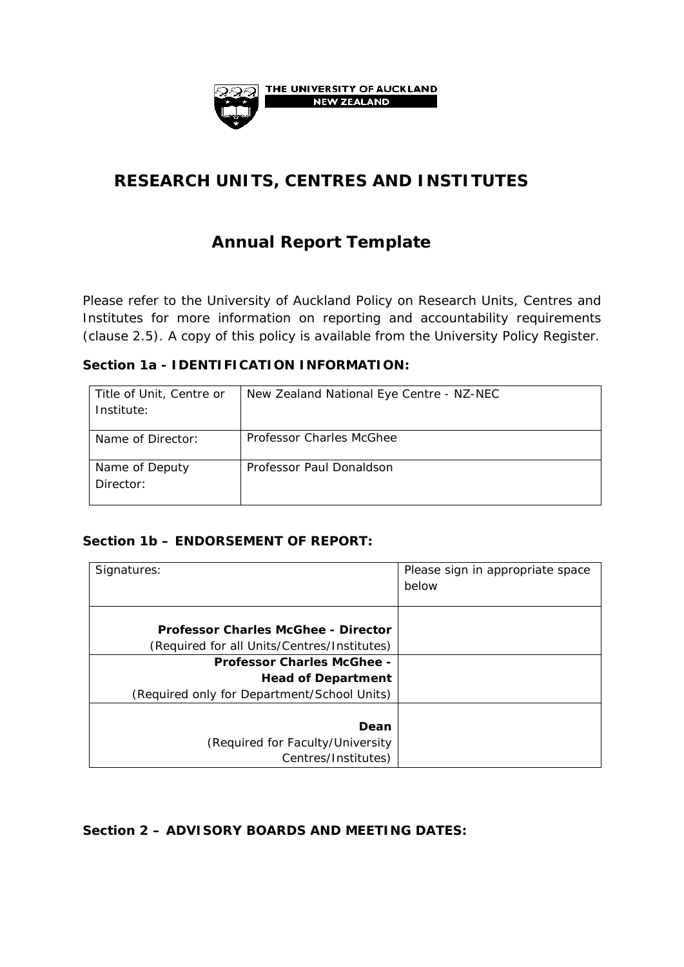

# **RESEARCH UNITS, CENTRES AND INSTITUTES**

# **Annual Report Template**

Please refer to the University of Auckland Policy on Research Units, Centres and Institutes for more information on reporting and accountability requirements (clause 2.5). A copy of this policy is available from the University Policy Register.

#### **Section 1a - IDENTIFICATION INFORMATION:**

| Title of Unit, Centre or<br>Institute: | New Zealand National Eye Centre - NZ-NEC |
|----------------------------------------|------------------------------------------|
| Name of Director:                      | Professor Charles McGhee                 |
| Name of Deputy<br>Director:            | Professor Paul Donaldson                 |

### **Section 1b – ENDORSEMENT OF REPORT:**

| Signatures:                                                                                                   | Please sign in appropriate space<br>below |
|---------------------------------------------------------------------------------------------------------------|-------------------------------------------|
| <b>Professor Charles McGhee - Director</b><br>(Required for all Units/Centres/Institutes)                     |                                           |
| <b>Professor Charles McGhee -</b><br><b>Head of Department</b><br>(Required only for Department/School Units) |                                           |
| Dean<br>(Required for Faculty/University)<br>Centres/Institutes)                                              |                                           |

#### **Section 2 – ADVISORY BOARDS AND MEETING DATES:**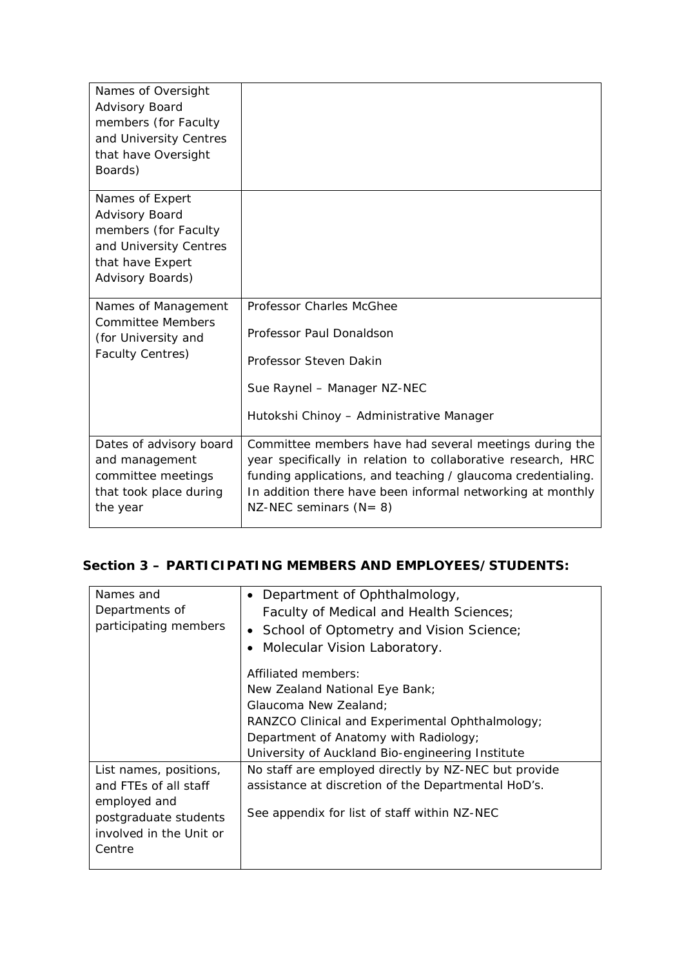| Names of Oversight<br>Advisory Board<br>members (for Faculty<br>and University Centres<br>that have Oversight<br>Boards)           |                                                                                                                                                                                                                                                                                   |
|------------------------------------------------------------------------------------------------------------------------------------|-----------------------------------------------------------------------------------------------------------------------------------------------------------------------------------------------------------------------------------------------------------------------------------|
| Names of Expert<br><b>Advisory Board</b><br>members (for Faculty<br>and University Centres<br>that have Expert<br>Advisory Boards) |                                                                                                                                                                                                                                                                                   |
| Names of Management<br><b>Committee Members</b><br>(for University and<br><b>Faculty Centres)</b>                                  | <b>Professor Charles McGhee</b><br>Professor Paul Donaldson<br>Professor Steven Dakin<br>Sue Raynel - Manager NZ-NEC<br>Hutokshi Chinoy - Administrative Manager                                                                                                                  |
| Dates of advisory board<br>and management<br>committee meetings<br>that took place during<br>the year                              | Committee members have had several meetings during the<br>year specifically in relation to collaborative research, HRC<br>funding applications, and teaching / glaucoma credentialing.<br>In addition there have been informal networking at monthly<br>NZ-NEC seminars $(N = 8)$ |

## **Section 3 – PARTICIPATING MEMBERS AND EMPLOYEES/STUDENTS:**

| Names and               | • Department of Ophthalmology,                       |
|-------------------------|------------------------------------------------------|
| Departments of          | Faculty of Medical and Health Sciences;              |
| participating members   | • School of Optometry and Vision Science;            |
|                         | Molecular Vision Laboratory.<br>$\bullet$            |
|                         | Affiliated members:                                  |
|                         | New Zealand National Eye Bank;                       |
|                         | Glaucoma New Zealand:                                |
|                         | RANZCO Clinical and Experimental Ophthalmology;      |
|                         | Department of Anatomy with Radiology;                |
|                         | University of Auckland Bio-engineering Institute     |
| List names, positions,  | No staff are employed directly by NZ-NEC but provide |
| and FTEs of all staff   | assistance at discretion of the Departmental HoD's.  |
| employed and            |                                                      |
| postgraduate students   | See appendix for list of staff within NZ-NEC         |
| involved in the Unit or |                                                      |
| Centre                  |                                                      |
|                         |                                                      |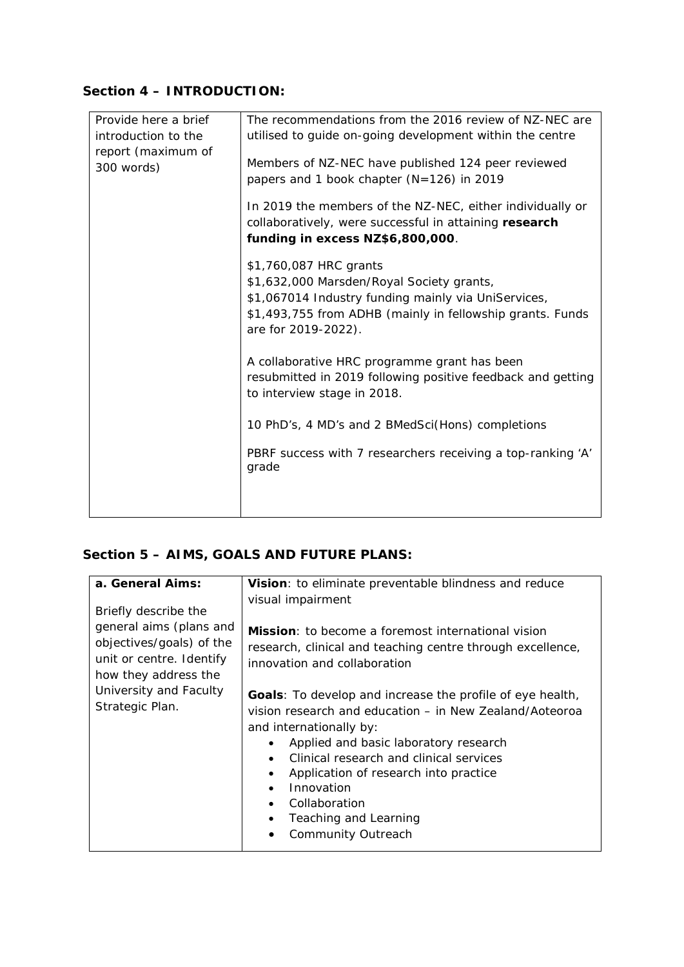## **Section 4 – INTRODUCTION:**

| Provide here a brief             | The recommendations from the 2016 review of NZ-NEC are                                                                                                                                                         |
|----------------------------------|----------------------------------------------------------------------------------------------------------------------------------------------------------------------------------------------------------------|
| introduction to the              | utilised to guide on-going development within the centre                                                                                                                                                       |
| report (maximum of<br>300 words) | Members of NZ-NEC have published 124 peer reviewed<br>papers and 1 book chapter (N=126) in 2019                                                                                                                |
|                                  | In 2019 the members of the NZ-NEC, either individually or<br>collaboratively, were successful in attaining research<br>funding in excess NZ\$6,800,000.                                                        |
|                                  | \$1,760,087 HRC grants<br>\$1,632,000 Marsden/Royal Society grants,<br>\$1,067014 Industry funding mainly via UniServices,<br>\$1,493,755 from ADHB (mainly in fellowship grants. Funds<br>are for 2019-2022). |
|                                  | A collaborative HRC programme grant has been<br>resubmitted in 2019 following positive feedback and getting<br>to interview stage in 2018.                                                                     |
|                                  | 10 PhD's, 4 MD's and 2 BMedSci(Hons) completions                                                                                                                                                               |
|                                  | PBRF success with 7 researchers receiving a top-ranking 'A'<br>grade                                                                                                                                           |
|                                  |                                                                                                                                                                                                                |

## **Section 5 – AIMS, GOALS AND FUTURE PLANS:**

| a. General Aims:                                                                                                                | Vision: to eliminate preventable blindness and reduce<br>visual impairment                                                                                                                                                                                                                                                                                                      |
|---------------------------------------------------------------------------------------------------------------------------------|---------------------------------------------------------------------------------------------------------------------------------------------------------------------------------------------------------------------------------------------------------------------------------------------------------------------------------------------------------------------------------|
| Briefly describe the<br>general aims (plans and<br>objectives/goals) of the<br>unit or centre. Identify<br>how they address the | <b>Mission</b> : to become a foremost international vision<br>research, clinical and teaching centre through excellence,<br>innovation and collaboration                                                                                                                                                                                                                        |
| University and Faculty<br>Strategic Plan.                                                                                       | <b>Goals</b> : To develop and increase the profile of eye health,<br>vision research and education – in New Zealand/Aoteoroa<br>and internationally by:<br>Applied and basic laboratory research<br>Clinical research and clinical services<br>Application of research into practice<br>Innovation<br>$\bullet$<br>Collaboration<br>Teaching and Learning<br>Community Outreach |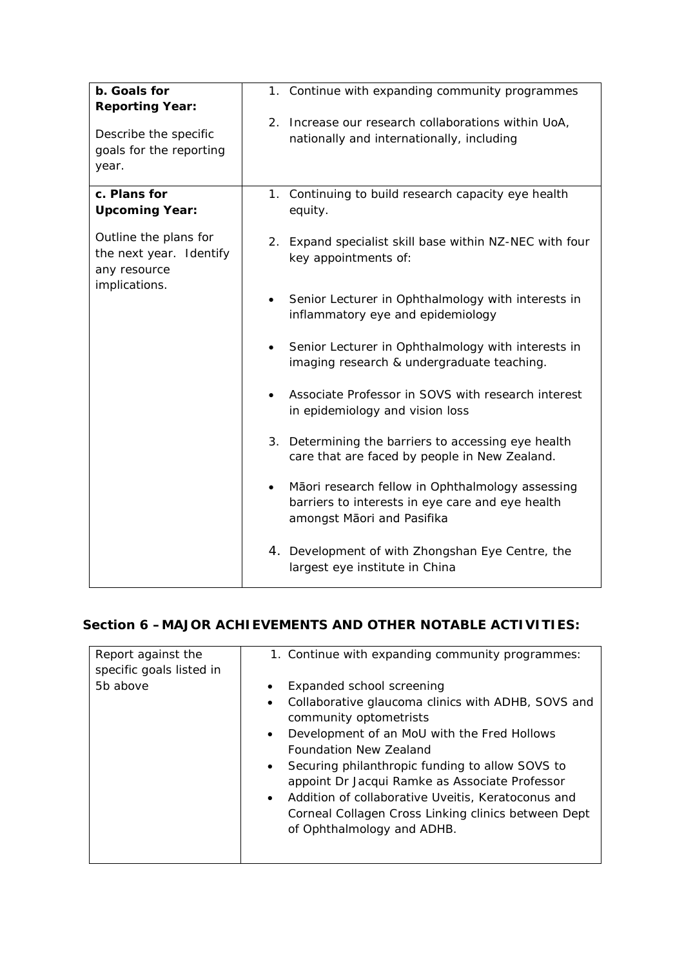| b. Goals for<br><b>Reporting Year:</b>                           | 1. Continue with expanding community programmes                                                                                                 |
|------------------------------------------------------------------|-------------------------------------------------------------------------------------------------------------------------------------------------|
| Describe the specific<br>goals for the reporting<br>year.        | 2. Increase our research collaborations within UoA,<br>nationally and internationally, including                                                |
| c. Plans for<br><b>Upcoming Year:</b>                            | 1. Continuing to build research capacity eye health<br>equity.                                                                                  |
| Outline the plans for<br>the next year. Identify<br>any resource | 2. Expand specialist skill base within NZ-NEC with four<br>key appointments of:                                                                 |
| implications.                                                    | Senior Lecturer in Ophthalmology with interests in<br>inflammatory eye and epidemiology                                                         |
|                                                                  | Senior Lecturer in Ophthalmology with interests in<br>imaging research & undergraduate teaching.                                                |
|                                                                  | Associate Professor in SOVS with research interest<br>in epidemiology and vision loss                                                           |
|                                                                  | 3. Determining the barriers to accessing eye health<br>care that are faced by people in New Zealand.                                            |
|                                                                  | Māori research fellow in Ophthalmology assessing<br>$\bullet$<br>barriers to interests in eye care and eye health<br>amongst Māori and Pasifika |
|                                                                  | 4. Development of with Zhongshan Eye Centre, the<br>largest eye institute in China                                                              |

### **Section 6 –MAJOR ACHIEVEMENTS AND OTHER NOTABLE ACTIVITIES:**

| Report against the<br>specific goals listed in | 1. Continue with expanding community programmes:                                                                                                                                                                                                                                                                                                                                                                                                                                                    |
|------------------------------------------------|-----------------------------------------------------------------------------------------------------------------------------------------------------------------------------------------------------------------------------------------------------------------------------------------------------------------------------------------------------------------------------------------------------------------------------------------------------------------------------------------------------|
| 5b above                                       | Expanded school screening<br>$\bullet$<br>Collaborative glaucoma clinics with ADHB, SOVS and<br>$\bullet$<br>community optometrists<br>Development of an MoU with the Fred Hollows<br>$\bullet$<br>Foundation New Zealand<br>Securing philanthropic funding to allow SOVS to<br>$\bullet$<br>appoint Dr Jacqui Ramke as Associate Professor<br>Addition of collaborative Uveitis, Keratoconus and<br>$\bullet$<br>Corneal Collagen Cross Linking clinics between Dept<br>of Ophthalmology and ADHB. |
|                                                |                                                                                                                                                                                                                                                                                                                                                                                                                                                                                                     |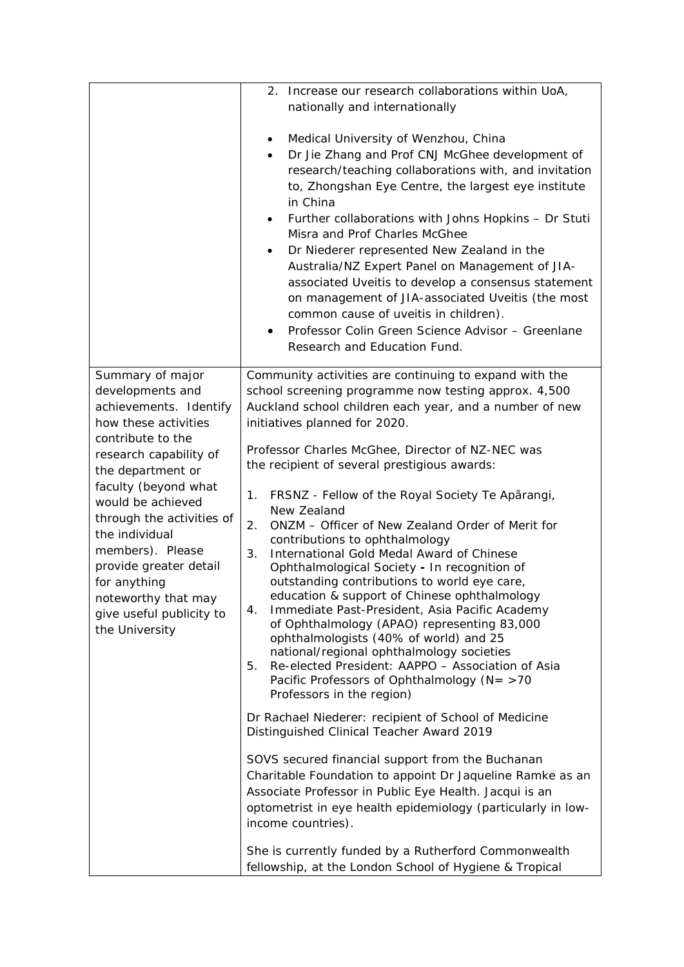|                                                                                                                                                                                                     | 2. Increase our research collaborations within UoA,<br>nationally and internationally<br>Medical University of Wenzhou, China<br>$\bullet$<br>Dr Jie Zhang and Prof CNJ McGhee development of<br>$\bullet$<br>research/teaching collaborations with, and invitation<br>to, Zhongshan Eye Centre, the largest eye institute<br>in China<br>Further collaborations with Johns Hopkins - Dr Stuti<br>$\bullet$<br>Misra and Prof Charles McGhee<br>Dr Niederer represented New Zealand in the<br>$\bullet$<br>Australia/NZ Expert Panel on Management of JIA-<br>associated Uveitis to develop a consensus statement                               |
|-----------------------------------------------------------------------------------------------------------------------------------------------------------------------------------------------------|-------------------------------------------------------------------------------------------------------------------------------------------------------------------------------------------------------------------------------------------------------------------------------------------------------------------------------------------------------------------------------------------------------------------------------------------------------------------------------------------------------------------------------------------------------------------------------------------------------------------------------------------------|
|                                                                                                                                                                                                     | on management of JIA-associated Uveitis (the most<br>common cause of uveitis in children).<br>Professor Colin Green Science Advisor - Greenlane<br>$\bullet$<br>Research and Education Fund.                                                                                                                                                                                                                                                                                                                                                                                                                                                    |
| Summary of major<br>developments and<br>achievements. Identify<br>how these activities<br>contribute to the                                                                                         | Community activities are continuing to expand with the<br>school screening programme now testing approx. 4,500<br>Auckland school children each year, and a number of new<br>initiatives planned for 2020.                                                                                                                                                                                                                                                                                                                                                                                                                                      |
| research capability of<br>the department or<br>faculty (beyond what                                                                                                                                 | Professor Charles McGhee, Director of NZ-NEC was<br>the recipient of several prestigious awards:<br>FRSNZ - Fellow of the Royal Society Te Aparangi,<br>1.                                                                                                                                                                                                                                                                                                                                                                                                                                                                                      |
| would be achieved<br>through the activities of<br>the individual<br>members). Please<br>provide greater detail<br>for anything<br>noteworthy that may<br>give useful publicity to<br>the University | New Zealand<br>ONZM - Officer of New Zealand Order of Merit for<br>2.<br>contributions to ophthalmology<br>International Gold Medal Award of Chinese<br>3.<br>Ophthalmological Society - In recognition of<br>outstanding contributions to world eye care,<br>education & support of Chinese ophthalmology<br>Immediate Past-President, Asia Pacific Academy<br>4.<br>of Ophthalmology (APAO) representing 83,000<br>ophthalmologists (40% of world) and 25<br>national/regional ophthalmology societies<br>Re-elected President: AAPPO - Association of Asia<br>5.<br>Pacific Professors of Ophthalmology (N= >70<br>Professors in the region) |
|                                                                                                                                                                                                     | Dr Rachael Niederer: recipient of School of Medicine<br>Distinguished Clinical Teacher Award 2019                                                                                                                                                                                                                                                                                                                                                                                                                                                                                                                                               |
|                                                                                                                                                                                                     | SOVS secured financial support from the Buchanan<br>Charitable Foundation to appoint Dr Jaqueline Ramke as an<br>Associate Professor in Public Eye Health. Jacqui is an<br>optometrist in eye health epidemiology (particularly in low-<br>income countries).                                                                                                                                                                                                                                                                                                                                                                                   |
|                                                                                                                                                                                                     | She is currently funded by a Rutherford Commonwealth<br>fellowship, at the London School of Hygiene & Tropical                                                                                                                                                                                                                                                                                                                                                                                                                                                                                                                                  |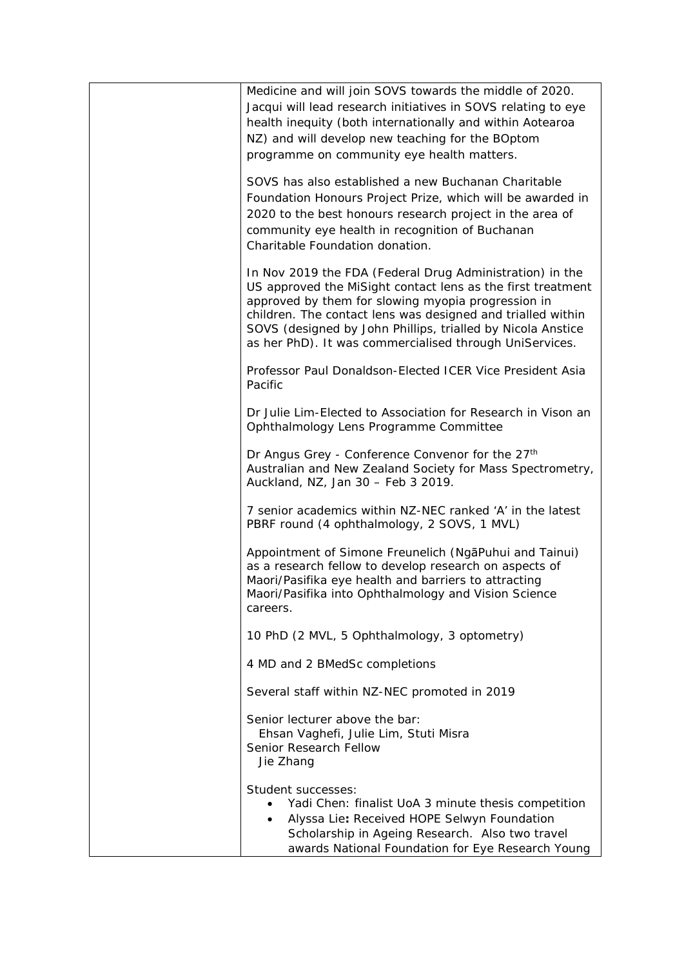| Medicine and will join SOVS towards the middle of 2020.<br>Jacqui will lead research initiatives in SOVS relating to eye<br>health inequity (both internationally and within Aotearoa<br>NZ) and will develop new teaching for the BOptom<br>programme on community eye health matters.                                                                                |
|------------------------------------------------------------------------------------------------------------------------------------------------------------------------------------------------------------------------------------------------------------------------------------------------------------------------------------------------------------------------|
| SOVS has also established a new Buchanan Charitable<br>Foundation Honours Project Prize, which will be awarded in<br>2020 to the best honours research project in the area of<br>community eye health in recognition of Buchanan<br>Charitable Foundation donation.                                                                                                    |
| In Nov 2019 the FDA (Federal Drug Administration) in the<br>US approved the MiSight contact lens as the first treatment<br>approved by them for slowing myopia progression in<br>children. The contact lens was designed and trialled within<br>SOVS (designed by John Phillips, trialled by Nicola Anstice<br>as her PhD). It was commercialised through UniServices. |
| Professor Paul Donaldson-Elected ICER Vice President Asia<br>Pacific                                                                                                                                                                                                                                                                                                   |
| Dr Julie Lim-Elected to Association for Research in Vison an<br>Ophthalmology Lens Programme Committee                                                                                                                                                                                                                                                                 |
| Dr Angus Grey - Conference Convenor for the 27th<br>Australian and New Zealand Society for Mass Spectrometry,<br>Auckland, NZ, Jan 30 - Feb 3 2019.                                                                                                                                                                                                                    |
| 7 senior academics within NZ-NEC ranked 'A' in the latest<br>PBRF round (4 ophthalmology, 2 SOVS, 1 MVL)                                                                                                                                                                                                                                                               |
| Appointment of Simone Freunelich (NgaPuhui and Tainui)<br>as a research fellow to develop research on aspects of<br>Maori/Pasifika eye health and barriers to attracting<br>Maori/Pasifika into Ophthalmology and Vision Science<br>careers.                                                                                                                           |
| 10 PhD (2 MVL, 5 Ophthalmology, 3 optometry)                                                                                                                                                                                                                                                                                                                           |
| 4 MD and 2 BMedSc completions                                                                                                                                                                                                                                                                                                                                          |
| Several staff within NZ-NEC promoted in 2019                                                                                                                                                                                                                                                                                                                           |
| Senior lecturer above the bar:<br>Ehsan Vaghefi, Julie Lim, Stuti Misra<br>Senior Research Fellow<br>Jie Zhang                                                                                                                                                                                                                                                         |
| Student successes:<br>Yadi Chen: finalist UoA 3 minute thesis competition<br>Alyssa Lie: Received HOPE Selwyn Foundation<br>٠<br>Scholarship in Ageing Research. Also two travel<br>awards National Foundation for Eye Research Young                                                                                                                                  |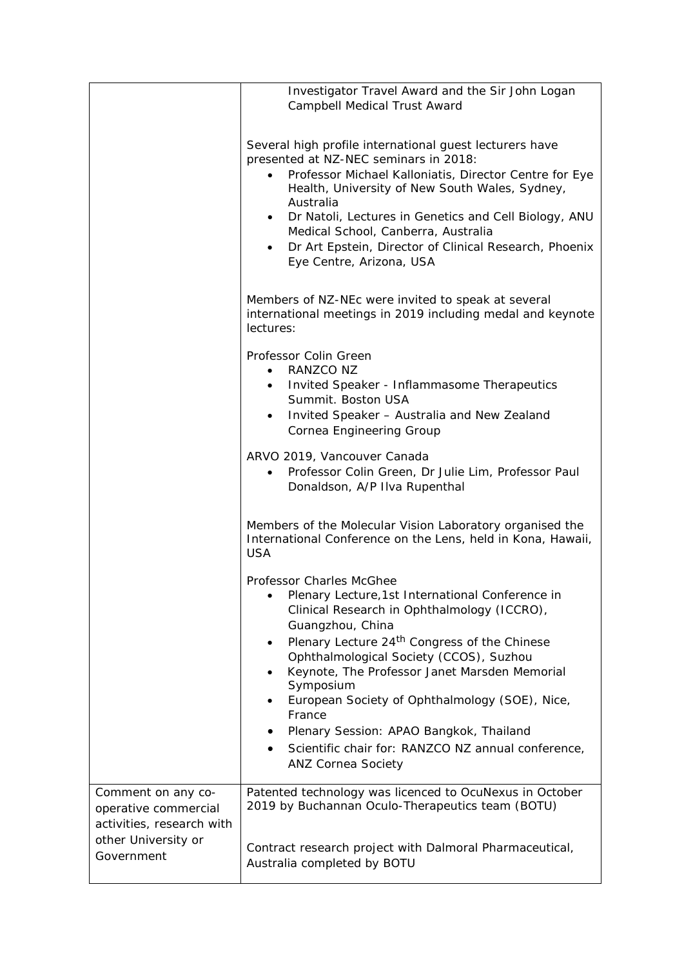|                                                                         | Investigator Travel Award and the Sir John Logan<br>Campbell Medical Trust Award                                                                                                                                                                               |
|-------------------------------------------------------------------------|----------------------------------------------------------------------------------------------------------------------------------------------------------------------------------------------------------------------------------------------------------------|
|                                                                         | Several high profile international guest lecturers have<br>presented at NZ-NEC seminars in 2018:<br>Professor Michael Kalloniatis, Director Centre for Eye                                                                                                     |
|                                                                         | Health, University of New South Wales, Sydney,<br>Australia<br>Dr Natoli, Lectures in Genetics and Cell Biology, ANU<br>Medical School, Canberra, Australia<br>Dr Art Epstein, Director of Clinical Research, Phoenix<br>$\bullet$<br>Eye Centre, Arizona, USA |
|                                                                         | Members of NZ-NEc were invited to speak at several<br>international meetings in 2019 including medal and keynote<br>lectures:                                                                                                                                  |
|                                                                         | Professor Colin Green<br>RANZCO NZ<br>$\bullet$<br>Invited Speaker - Inflammasome Therapeutics<br>$\bullet$<br>Summit. Boston USA<br>Invited Speaker - Australia and New Zealand<br>Cornea Engineering Group                                                   |
|                                                                         | ARVO 2019, Vancouver Canada<br>Professor Colin Green, Dr Julie Lim, Professor Paul<br>Donaldson, A/P IIva Rupenthal                                                                                                                                            |
|                                                                         | Members of the Molecular Vision Laboratory organised the<br>International Conference on the Lens, held in Kona, Hawaii,<br><b>USA</b>                                                                                                                          |
|                                                                         | Professor Charles McGhee<br>Plenary Lecture, 1st International Conference in<br>Clinical Research in Ophthalmology (ICCRO),<br>Guangzhou, China                                                                                                                |
|                                                                         | Plenary Lecture 24 <sup>th</sup> Congress of the Chinese<br>$\bullet$<br>Ophthalmological Society (CCOS), Suzhou<br>Keynote, The Professor Janet Marsden Memorial<br>$\bullet$<br>Symposium<br>European Society of Ophthalmology (SOE), Nice,                  |
|                                                                         | France<br>Plenary Session: APAO Bangkok, Thailand<br>Scientific chair for: RANZCO NZ annual conference,<br><b>ANZ Cornea Society</b>                                                                                                                           |
| Comment on any co-<br>operative commercial<br>activities, research with | Patented technology was licenced to OcuNexus in October<br>2019 by Buchannan Oculo-Therapeutics team (BOTU)                                                                                                                                                    |
| other University or<br>Government                                       | Contract research project with Dalmoral Pharmaceutical,<br>Australia completed by BOTU                                                                                                                                                                         |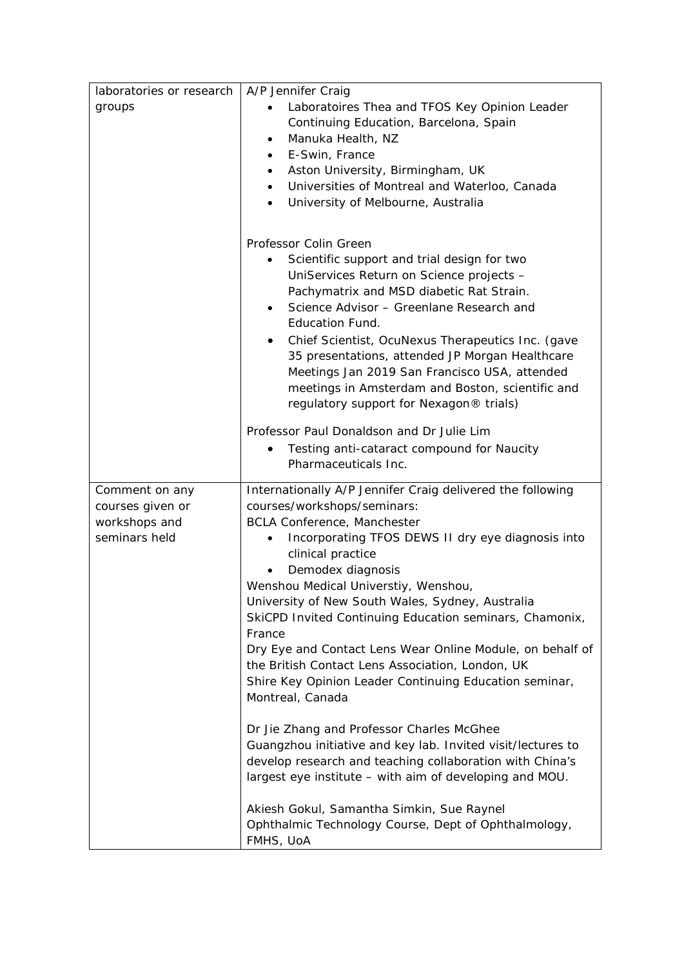| laboratories or research | A/P Jennifer Craig                                                                                       |
|--------------------------|----------------------------------------------------------------------------------------------------------|
| groups                   | Laboratoires Thea and TFOS Key Opinion Leader<br>$\bullet$                                               |
|                          | Continuing Education, Barcelona, Spain                                                                   |
|                          | Manuka Health, NZ<br>$\bullet$                                                                           |
|                          | E-Swin, France<br>$\bullet$                                                                              |
|                          | Aston University, Birmingham, UK                                                                         |
|                          | Universities of Montreal and Waterloo, Canada                                                            |
|                          | University of Melbourne, Australia<br>$\bullet$                                                          |
|                          |                                                                                                          |
|                          | Professor Colin Green                                                                                    |
|                          | Scientific support and trial design for two<br>$\bullet$                                                 |
|                          | UniServices Return on Science projects -                                                                 |
|                          | Pachymatrix and MSD diabetic Rat Strain.                                                                 |
|                          | Science Advisor - Greenlane Research and                                                                 |
|                          | <b>Education Fund.</b>                                                                                   |
|                          | Chief Scientist, OcuNexus Therapeutics Inc. (gave<br>$\bullet$                                           |
|                          | 35 presentations, attended JP Morgan Healthcare                                                          |
|                          | Meetings Jan 2019 San Francisco USA, attended                                                            |
|                          | meetings in Amsterdam and Boston, scientific and                                                         |
|                          | regulatory support for Nexagon® trials)                                                                  |
|                          | Professor Paul Donaldson and Dr Julie Lim                                                                |
|                          | Testing anti-cataract compound for Naucity                                                               |
|                          | Pharmaceuticals Inc.                                                                                     |
|                          |                                                                                                          |
| Comment on any           | Internationally A/P Jennifer Craig delivered the following                                               |
| courses given or         | courses/workshops/seminars:                                                                              |
| workshops and            | <b>BCLA Conference, Manchester</b>                                                                       |
| seminars held            | Incorporating TFOS DEWS II dry eye diagnosis into<br>clinical practice                                   |
|                          | Demodex diagnosis                                                                                        |
|                          | Wenshou Medical Universtiy, Wenshou,                                                                     |
|                          | University of New South Wales, Sydney, Australia                                                         |
|                          | SkiCPD Invited Continuing Education seminars, Chamonix,                                                  |
|                          | France                                                                                                   |
|                          | Dry Eye and Contact Lens Wear Online Module, on behalf of                                                |
|                          | the British Contact Lens Association, London, UK                                                         |
|                          | Shire Key Opinion Leader Continuing Education seminar,                                                   |
|                          | Montreal, Canada                                                                                         |
|                          |                                                                                                          |
|                          | Dr Jie Zhang and Professor Charles McGhee<br>Guangzhou initiative and key lab. Invited visit/lectures to |
|                          | develop research and teaching collaboration with China's                                                 |
|                          | largest eye institute - with aim of developing and MOU.                                                  |
|                          | Akiesh Gokul, Samantha Simkin, Sue Raynel                                                                |
|                          | Ophthalmic Technology Course, Dept of Ophthalmology,                                                     |
|                          | FMHS, UoA                                                                                                |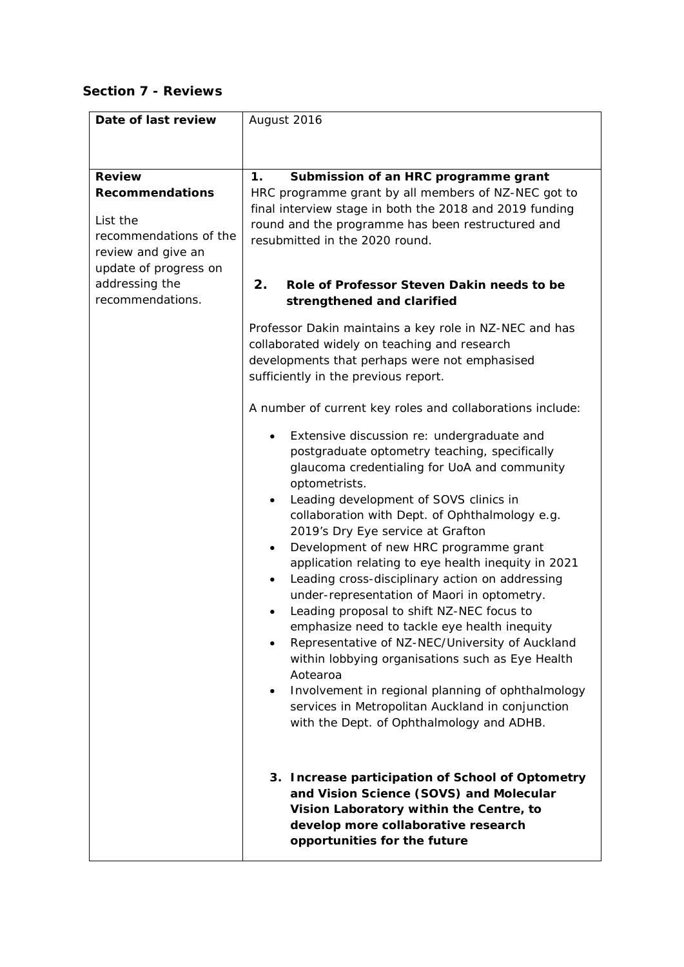### **Section 7 - Reviews**

| Date of last review                                                                                                                                                | August 2016                                                                                                                                                                                                                                                                                                                                                                                                                                                                                                                                                                                                                                                                                                                                                                                                                                                                                                                                                                                                                                                                                                                                                                                                                                                                                                                                                                                                                                                                                                            |
|--------------------------------------------------------------------------------------------------------------------------------------------------------------------|------------------------------------------------------------------------------------------------------------------------------------------------------------------------------------------------------------------------------------------------------------------------------------------------------------------------------------------------------------------------------------------------------------------------------------------------------------------------------------------------------------------------------------------------------------------------------------------------------------------------------------------------------------------------------------------------------------------------------------------------------------------------------------------------------------------------------------------------------------------------------------------------------------------------------------------------------------------------------------------------------------------------------------------------------------------------------------------------------------------------------------------------------------------------------------------------------------------------------------------------------------------------------------------------------------------------------------------------------------------------------------------------------------------------------------------------------------------------------------------------------------------------|
|                                                                                                                                                                    |                                                                                                                                                                                                                                                                                                                                                                                                                                                                                                                                                                                                                                                                                                                                                                                                                                                                                                                                                                                                                                                                                                                                                                                                                                                                                                                                                                                                                                                                                                                        |
| <b>Review</b><br><b>Recommendations</b><br>List the<br>recommendations of the<br>review and give an<br>update of progress on<br>addressing the<br>recommendations. | Submission of an HRC programme grant<br>1.<br>HRC programme grant by all members of NZ-NEC got to<br>final interview stage in both the 2018 and 2019 funding<br>round and the programme has been restructured and<br>resubmitted in the 2020 round.<br>2.<br>Role of Professor Steven Dakin needs to be<br>strengthened and clarified<br>Professor Dakin maintains a key role in NZ-NEC and has<br>collaborated widely on teaching and research<br>developments that perhaps were not emphasised<br>sufficiently in the previous report.<br>A number of current key roles and collaborations include:<br>Extensive discussion re: undergraduate and<br>postgraduate optometry teaching, specifically<br>glaucoma credentialing for UoA and community<br>optometrists.<br>Leading development of SOVS clinics in<br>collaboration with Dept. of Ophthalmology e.g.<br>2019's Dry Eye service at Grafton<br>Development of new HRC programme grant<br>$\bullet$<br>application relating to eye health inequity in 2021<br>Leading cross-disciplinary action on addressing<br>$\bullet$<br>under-representation of Maori in optometry.<br>Leading proposal to shift NZ-NEC focus to<br>emphasize need to tackle eye health inequity<br>Representative of NZ-NEC/University of Auckland<br>within lobbying organisations such as Eye Health<br>Aotearoa<br>Involvement in regional planning of ophthalmology<br>$\bullet$<br>services in Metropolitan Auckland in conjunction<br>with the Dept. of Ophthalmology and ADHB. |
|                                                                                                                                                                    | 3. Increase participation of School of Optometry<br>and Vision Science (SOVS) and Molecular<br>Vision Laboratory within the Centre, to<br>develop more collaborative research<br>opportunities for the future                                                                                                                                                                                                                                                                                                                                                                                                                                                                                                                                                                                                                                                                                                                                                                                                                                                                                                                                                                                                                                                                                                                                                                                                                                                                                                          |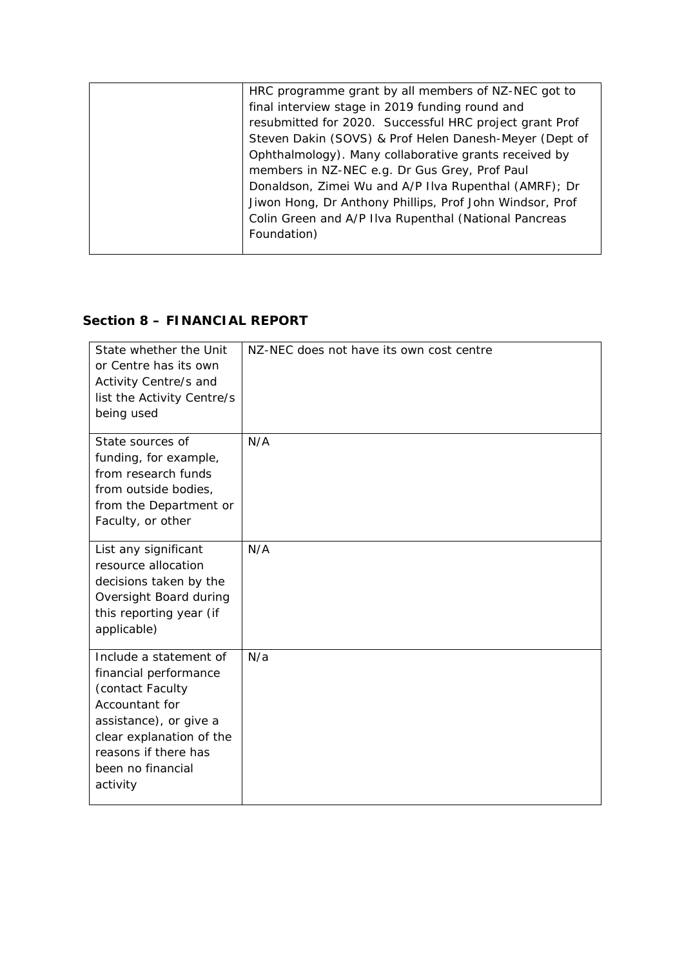| HRC programme grant by all members of NZ-NEC got to      |
|----------------------------------------------------------|
| final interview stage in 2019 funding round and          |
| resubmitted for 2020. Successful HRC project grant Prof  |
| Steven Dakin (SOVS) & Prof Helen Danesh-Meyer (Dept of   |
| Ophthalmology). Many collaborative grants received by    |
| members in NZ-NEC e.g. Dr Gus Grey, Prof Paul            |
| Donaldson, Zimei Wu and A/P IIva Rupenthal (AMRF); Dr    |
| Jiwon Hong, Dr Anthony Phillips, Prof John Windsor, Prof |
| Colin Green and A/P IIva Rupenthal (National Pancreas    |
| Foundation)                                              |
|                                                          |

### **Section 8 – FINANCIAL REPORT**

| State whether the Unit<br>or Centre has its own<br>Activity Centre/s and<br>list the Activity Centre/s<br>being used                                                                                 | NZ-NEC does not have its own cost centre |
|------------------------------------------------------------------------------------------------------------------------------------------------------------------------------------------------------|------------------------------------------|
| State sources of<br>funding, for example,<br>from research funds<br>from outside bodies,<br>from the Department or<br>Faculty, or other                                                              | N/A                                      |
| List any significant<br>resource allocation<br>decisions taken by the<br>Oversight Board during<br>this reporting year (if<br>applicable)                                                            | N/A                                      |
| Include a statement of<br>financial performance<br>(contact Faculty<br>Accountant for<br>assistance), or give a<br>clear explanation of the<br>reasons if there has<br>been no financial<br>activity | N/a                                      |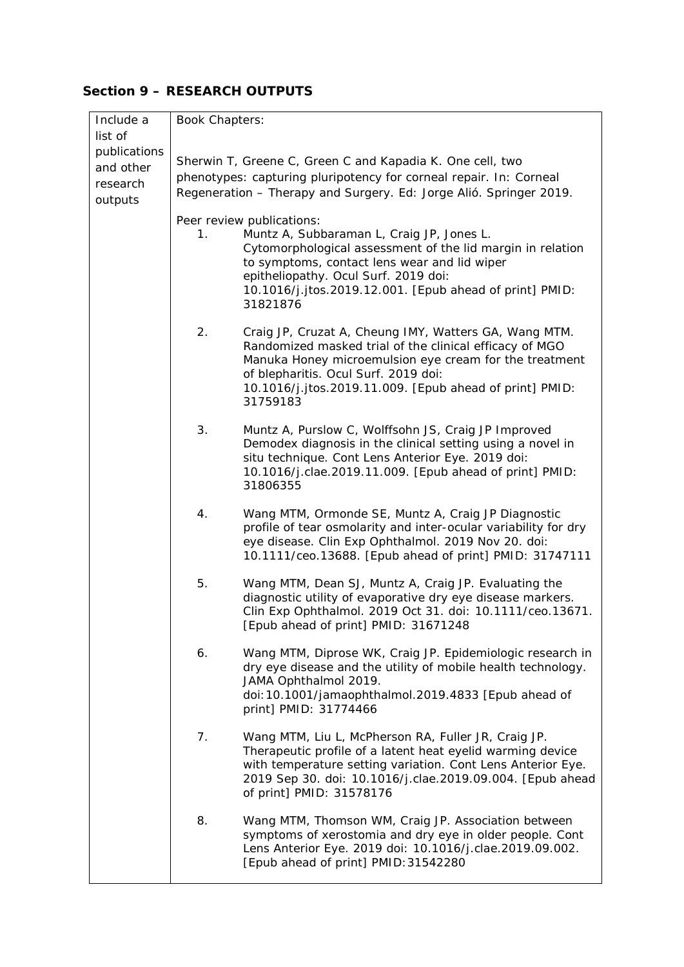## **Section 9 – RESEARCH OUTPUTS**

| Include a    | <b>Book Chapters:</b>                                              |                                                                                                                           |  |
|--------------|--------------------------------------------------------------------|---------------------------------------------------------------------------------------------------------------------------|--|
| list of      |                                                                    |                                                                                                                           |  |
| publications |                                                                    |                                                                                                                           |  |
| and other    | Sherwin T, Greene C, Green C and Kapadia K. One cell, two          |                                                                                                                           |  |
| research     | phenotypes: capturing pluripotency for corneal repair. In: Corneal |                                                                                                                           |  |
| outputs      |                                                                    | Regeneration - Therapy and Surgery. Ed: Jorge Alió. Springer 2019.                                                        |  |
|              |                                                                    | Peer review publications:                                                                                                 |  |
|              | 1.                                                                 | Muntz A, Subbaraman L, Craig JP, Jones L.                                                                                 |  |
|              |                                                                    | Cytomorphological assessment of the lid margin in relation                                                                |  |
|              |                                                                    | to symptoms, contact lens wear and lid wiper                                                                              |  |
|              |                                                                    | epitheliopathy. Ocul Surf. 2019 doi:                                                                                      |  |
|              |                                                                    | 10.1016/j.jtos.2019.12.001. [Epub ahead of print] PMID:                                                                   |  |
|              |                                                                    | 31821876                                                                                                                  |  |
|              | 2.                                                                 | Craig JP, Cruzat A, Cheung IMY, Watters GA, Wang MTM.                                                                     |  |
|              |                                                                    | Randomized masked trial of the clinical efficacy of MGO                                                                   |  |
|              |                                                                    | Manuka Honey microemulsion eye cream for the treatment                                                                    |  |
|              |                                                                    | of blepharitis. Ocul Surf. 2019 doi:                                                                                      |  |
|              |                                                                    | 10.1016/j.jtos.2019.11.009. [Epub ahead of print] PMID:<br>31759183                                                       |  |
|              |                                                                    |                                                                                                                           |  |
|              | 3.                                                                 | Muntz A, Purslow C, Wolffsohn JS, Craig JP Improved                                                                       |  |
|              |                                                                    | Demodex diagnosis in the clinical setting using a novel in                                                                |  |
|              |                                                                    | situ technique. Cont Lens Anterior Eye. 2019 doi:                                                                         |  |
|              |                                                                    | 10.1016/j.clae.2019.11.009. [Epub ahead of print] PMID:                                                                   |  |
|              |                                                                    | 31806355                                                                                                                  |  |
|              | 4.                                                                 | Wang MTM, Ormonde SE, Muntz A, Craig JP Diagnostic                                                                        |  |
|              |                                                                    | profile of tear osmolarity and inter-ocular variability for dry                                                           |  |
|              |                                                                    | eye disease. Clin Exp Ophthalmol. 2019 Nov 20. doi:                                                                       |  |
|              |                                                                    | 10.1111/ceo.13688. [Epub ahead of print] PMID: 31747111                                                                   |  |
|              | 5.                                                                 | Wang MTM, Dean SJ, Muntz A, Craig JP. Evaluating the                                                                      |  |
|              |                                                                    | diagnostic utility of evaporative dry eye disease markers.                                                                |  |
|              |                                                                    | Clin Exp Ophthalmol. 2019 Oct 31. doi: 10.1111/ceo.13671.                                                                 |  |
|              |                                                                    | [Epub ahead of print] PMID: 31671248                                                                                      |  |
|              |                                                                    |                                                                                                                           |  |
|              | 6.                                                                 | Wang MTM, Diprose WK, Craig JP. Epidemiologic research in<br>dry eye disease and the utility of mobile health technology. |  |
|              |                                                                    | JAMA Ophthalmol 2019.                                                                                                     |  |
|              |                                                                    | doi: 10.1001/jamaophthalmol.2019.4833 [Epub ahead of                                                                      |  |
|              |                                                                    | print] PMID: 31774466                                                                                                     |  |
|              |                                                                    |                                                                                                                           |  |
|              | 7.                                                                 | Wang MTM, Liu L, McPherson RA, Fuller JR, Craig JP.                                                                       |  |
|              |                                                                    | Therapeutic profile of a latent heat eyelid warming device<br>with temperature setting variation. Cont Lens Anterior Eye. |  |
|              |                                                                    | 2019 Sep 30. doi: 10.1016/j.clae.2019.09.004. [Epub ahead                                                                 |  |
|              |                                                                    | of print] PMID: 31578176                                                                                                  |  |
|              |                                                                    |                                                                                                                           |  |
|              | 8.                                                                 | Wang MTM, Thomson WM, Craig JP. Association between                                                                       |  |
|              |                                                                    | symptoms of xerostomia and dry eye in older people. Cont<br>Lens Anterior Eye. 2019 doi: 10.1016/j.clae.2019.09.002.      |  |
|              |                                                                    | [Epub ahead of print] PMID: 31542280                                                                                      |  |
|              |                                                                    |                                                                                                                           |  |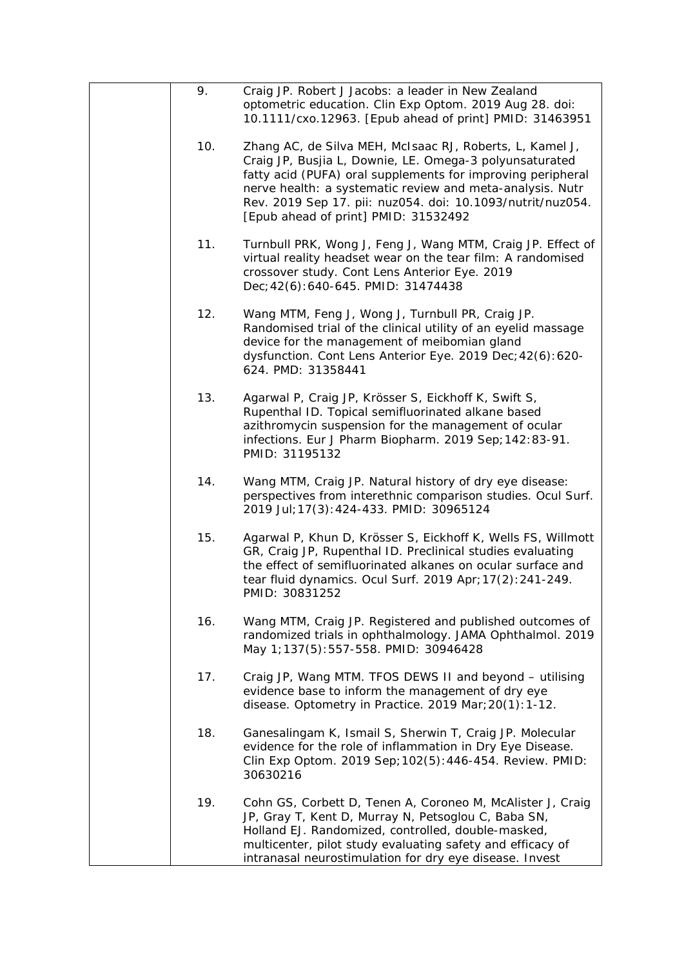| 9.  | Craig JP. Robert J Jacobs: a leader in New Zealand<br>optometric education. Clin Exp Optom. 2019 Aug 28. doi:<br>10.1111/cxo.12963. [Epub ahead of print] PMID: 31463951                                                                                                                                                                              |
|-----|-------------------------------------------------------------------------------------------------------------------------------------------------------------------------------------------------------------------------------------------------------------------------------------------------------------------------------------------------------|
| 10. | Zhang AC, de Silva MEH, McIsaac RJ, Roberts, L, Kamel J,<br>Craig JP, Busjia L, Downie, LE. Omega-3 polyunsaturated<br>fatty acid (PUFA) oral supplements for improving peripheral<br>nerve health: a systematic review and meta-analysis. Nutr<br>Rev. 2019 Sep 17. pii: nuz054. doi: 10.1093/nutrit/nuz054.<br>[Epub ahead of print] PMID: 31532492 |
| 11. | Turnbull PRK, Wong J, Feng J, Wang MTM, Craig JP. Effect of<br>virtual reality headset wear on the tear film: A randomised<br>crossover study. Cont Lens Anterior Eye. 2019<br>Dec; 42(6): 640-645. PMID: 31474438                                                                                                                                    |
| 12. | Wang MTM, Feng J, Wong J, Turnbull PR, Craig JP.<br>Randomised trial of the clinical utility of an eyelid massage<br>device for the management of meibomian gland<br>dysfunction. Cont Lens Anterior Eye. 2019 Dec; 42(6): 620-<br>624. PMD: 31358441                                                                                                 |
| 13. | Agarwal P, Craig JP, Krösser S, Eickhoff K, Swift S,<br>Rupenthal ID. Topical semifluorinated alkane based<br>azithromycin suspension for the management of ocular<br>infections. Eur J Pharm Biopharm. 2019 Sep; 142:83-91.<br>PMID: 31195132                                                                                                        |
| 14. | Wang MTM, Craig JP. Natural history of dry eye disease:<br>perspectives from interethnic comparison studies. Ocul Surf.<br>2019 Jul; 17(3): 424-433. PMID: 30965124                                                                                                                                                                                   |
| 15. | Agarwal P, Khun D, Krösser S, Eickhoff K, Wells FS, Willmott<br>GR, Craig JP, Rupenthal ID. Preclinical studies evaluating<br>the effect of semifluorinated alkanes on ocular surface and<br>tear fluid dynamics. Ocul Surf. 2019 Apr; 17(2): 241-249.<br>PMID: 30831252                                                                              |
| 16. | Wang MTM, Craig JP. Registered and published outcomes of<br>randomized trials in ophthalmology. JAMA Ophthalmol. 2019<br>May 1;137(5):557-558. PMID: 30946428                                                                                                                                                                                         |
| 17. | Craig JP, Wang MTM. TFOS DEWS II and beyond - utilising<br>evidence base to inform the management of dry eye<br>disease. Optometry in Practice. 2019 Mar; 20(1): 1-12.                                                                                                                                                                                |
| 18. | Ganesalingam K, Ismail S, Sherwin T, Craig JP. Molecular<br>evidence for the role of inflammation in Dry Eye Disease.<br>Clin Exp Optom. 2019 Sep; 102(5): 446-454. Review. PMID:<br>30630216                                                                                                                                                         |
| 19. | Cohn GS, Corbett D, Tenen A, Coroneo M, McAlister J, Craig<br>JP, Gray T, Kent D, Murray N, Petsoglou C, Baba SN,<br>Holland EJ. Randomized, controlled, double-masked,<br>multicenter, pilot study evaluating safety and efficacy of<br>intranasal neurostimulation for dry eye disease. Invest                                                      |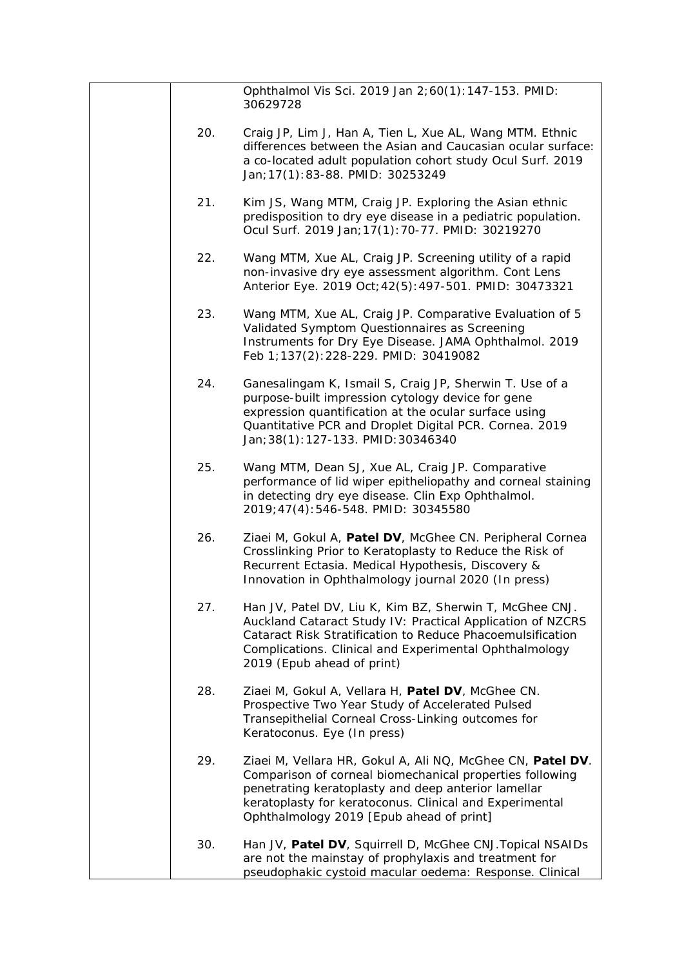|     | Ophthalmol Vis Sci. 2019 Jan 2;60(1):147-153. PMID:<br>30629728                                                                                                                                                                                                                      |
|-----|--------------------------------------------------------------------------------------------------------------------------------------------------------------------------------------------------------------------------------------------------------------------------------------|
| 20. | Craig JP, Lim J, Han A, Tien L, Xue AL, Wang MTM. Ethnic<br>differences between the Asian and Caucasian ocular surface:<br>a co-located adult population cohort study Ocul Surf. 2019<br>Jan; 17(1): 83-88. PMID: 30253249                                                           |
| 21. | Kim JS, Wang MTM, Craig JP. Exploring the Asian ethnic<br>predisposition to dry eye disease in a pediatric population.<br>Ocul Surf. 2019 Jan; 17(1): 70-77. PMID: 30219270                                                                                                          |
| 22. | Wang MTM, Xue AL, Craig JP. Screening utility of a rapid<br>non-invasive dry eye assessment algorithm. Cont Lens<br>Anterior Eye. 2019 Oct; 42(5): 497-501. PMID: 30473321                                                                                                           |
| 23. | Wang MTM, Xue AL, Craig JP. Comparative Evaluation of 5<br>Validated Symptom Questionnaires as Screening<br>Instruments for Dry Eye Disease. JAMA Ophthalmol. 2019<br>Feb 1; 137(2): 228-229. PMID: 30419082                                                                         |
| 24. | Ganesalingam K, Ismail S, Craig JP, Sherwin T. Use of a<br>purpose-built impression cytology device for gene<br>expression quantification at the ocular surface using<br>Quantitative PCR and Droplet Digital PCR. Cornea. 2019<br>Jan; 38(1): 127-133. PMID: 30346340               |
| 25. | Wang MTM, Dean SJ, Xue AL, Craig JP. Comparative<br>performance of lid wiper epitheliopathy and corneal staining<br>in detecting dry eye disease. Clin Exp Ophthalmol.<br>2019;47(4):546-548. PMID: 30345580                                                                         |
| 26. | Ziaei M, Gokul A, Patel DV, McGhee CN. Peripheral Cornea<br>Crosslinking Prior to Keratoplasty to Reduce the Risk of<br>Recurrent Ectasia. Medical Hypothesis, Discovery &<br>Innovation in Ophthalmology journal 2020 (In press)                                                    |
| 27. | Han JV, Patel DV, Liu K, Kim BZ, Sherwin T, McGhee CNJ.<br>Auckland Cataract Study IV: Practical Application of NZCRS<br>Cataract Risk Stratification to Reduce Phacoemulsification<br>Complications. Clinical and Experimental Ophthalmology<br>2019 (Epub ahead of print)          |
| 28. | Ziaei M, Gokul A, Vellara H, Patel DV, McGhee CN.<br>Prospective Two Year Study of Accelerated Pulsed<br>Transepithelial Corneal Cross-Linking outcomes for<br>Keratoconus. Eye (In press)                                                                                           |
| 29. | Ziaei M, Vellara HR, Gokul A, Ali NQ, McGhee CN, Patel DV.<br>Comparison of corneal biomechanical properties following<br>penetrating keratoplasty and deep anterior lamellar<br>keratoplasty for keratoconus. Clinical and Experimental<br>Ophthalmology 2019 [Epub ahead of print] |
| 30. | Han JV, Patel DV, Squirrell D, McGhee CNJ. Topical NSAIDs<br>are not the mainstay of prophylaxis and treatment for<br>pseudophakic cystoid macular oedema: Response. Clinical                                                                                                        |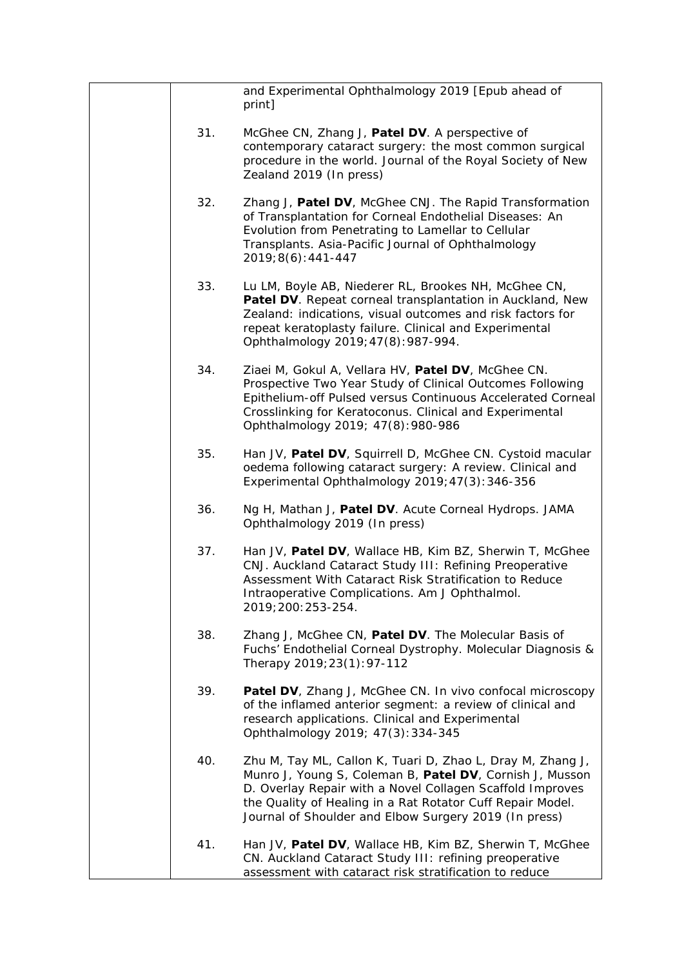|     | and Experimental Ophthalmology 2019 [Epub ahead of<br>print]                                                                                                                                                                                                                                               |
|-----|------------------------------------------------------------------------------------------------------------------------------------------------------------------------------------------------------------------------------------------------------------------------------------------------------------|
| 31. | McGhee CN, Zhang J, Patel DV. A perspective of<br>contemporary cataract surgery: the most common surgical<br>procedure in the world. Journal of the Royal Society of New<br>Zealand 2019 (In press)                                                                                                        |
| 32. | Zhang J, Patel DV, McGhee CNJ. The Rapid Transformation<br>of Transplantation for Corneal Endothelial Diseases: An<br>Evolution from Penetrating to Lamellar to Cellular<br>Transplants. Asia-Pacific Journal of Ophthalmology<br>$2019;8(6):441-447$                                                      |
| 33. | Lu LM, Boyle AB, Niederer RL, Brookes NH, McGhee CN,<br>Patel DV. Repeat corneal transplantation in Auckland, New<br>Zealand: indications, visual outcomes and risk factors for<br>repeat keratoplasty failure. Clinical and Experimental<br>Ophthalmology 2019; 47(8): 987-994.                           |
| 34. | Ziaei M, Gokul A, Vellara HV, Patel DV, McGhee CN.<br>Prospective Two Year Study of Clinical Outcomes Following<br>Epithelium-off Pulsed versus Continuous Accelerated Corneal<br>Crosslinking for Keratoconus. Clinical and Experimental<br>Ophthalmology 2019; 47(8): 980-986                            |
| 35. | Han JV, Patel DV, Squirrell D, McGhee CN. Cystoid macular<br>oedema following cataract surgery: A review. Clinical and<br>Experimental Ophthalmology 2019; 47(3): 346-356                                                                                                                                  |
| 36. | Ng H, Mathan J, Patel DV. Acute Corneal Hydrops. JAMA<br>Ophthalmology 2019 (In press)                                                                                                                                                                                                                     |
| 37. | Han JV, Patel DV, Wallace HB, Kim BZ, Sherwin T, McGhee<br>CNJ. Auckland Cataract Study III: Refining Preoperative<br>Assessment With Cataract Risk Stratification to Reduce<br>Intraoperative Complications. Am J Ophthalmol.<br>2019; 200: 253-254.                                                      |
| 38. | Zhang J, McGhee CN, Patel DV. The Molecular Basis of<br>Fuchs' Endothelial Corneal Dystrophy. Molecular Diagnosis &<br>Therapy 2019; 23(1): 97-112                                                                                                                                                         |
| 39. | Patel DV, Zhang J, McGhee CN. In vivo confocal microscopy<br>of the inflamed anterior segment: a review of clinical and<br>research applications. Clinical and Experimental<br>Ophthalmology 2019; 47(3): 334-345                                                                                          |
| 40. | Zhu M, Tay ML, Callon K, Tuari D, Zhao L, Dray M, Zhang J,<br>Munro J, Young S, Coleman B, Patel DV, Cornish J, Musson<br>D. Overlay Repair with a Novel Collagen Scaffold Improves<br>the Quality of Healing in a Rat Rotator Cuff Repair Model.<br>Journal of Shoulder and Elbow Surgery 2019 (In press) |
| 41. | Han JV, Patel DV, Wallace HB, Kim BZ, Sherwin T, McGhee<br>CN. Auckland Cataract Study III: refining preoperative<br>assessment with cataract risk stratification to reduce                                                                                                                                |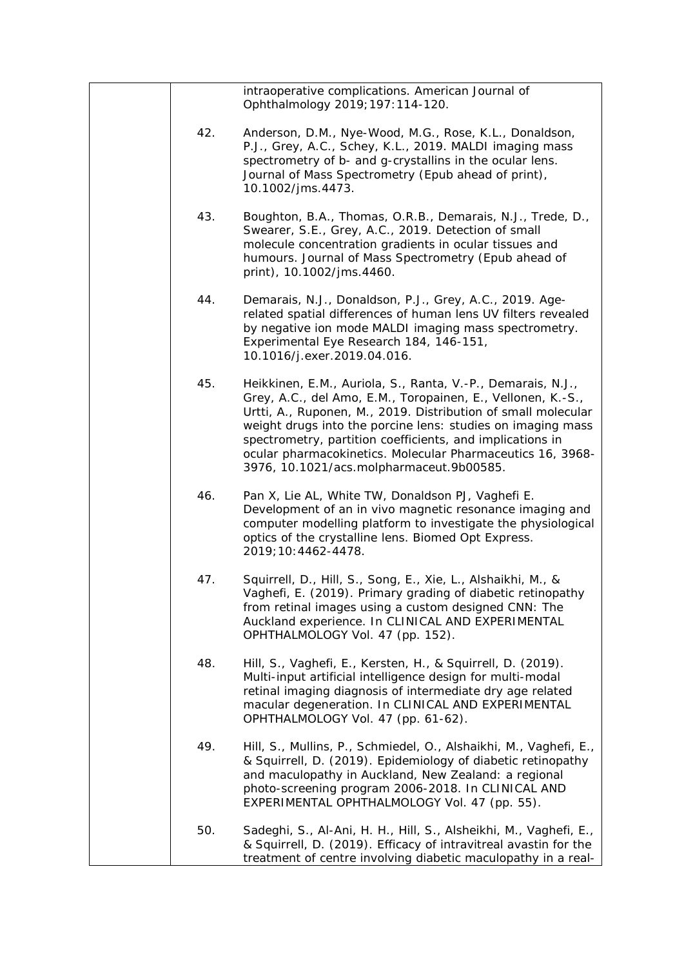|     | intraoperative complications. American Journal of<br>Ophthalmology 2019; 197: 114-120.                                                                                                                                                                                                                                                                                                                                            |
|-----|-----------------------------------------------------------------------------------------------------------------------------------------------------------------------------------------------------------------------------------------------------------------------------------------------------------------------------------------------------------------------------------------------------------------------------------|
| 42. | Anderson, D.M., Nye-Wood, M.G., Rose, K.L., Donaldson,<br>P.J., Grey, A.C., Schey, K.L., 2019. MALDI imaging mass<br>spectrometry of b- and g-crystallins in the ocular lens.<br>Journal of Mass Spectrometry (Epub ahead of print),<br>10.1002/jms.4473.                                                                                                                                                                         |
| 43. | Boughton, B.A., Thomas, O.R.B., Demarais, N.J., Trede, D.,<br>Swearer, S.E., Grey, A.C., 2019. Detection of small<br>molecule concentration gradients in ocular tissues and<br>humours. Journal of Mass Spectrometry (Epub ahead of<br>print), 10.1002/jms.4460.                                                                                                                                                                  |
| 44. | Demarais, N.J., Donaldson, P.J., Grey, A.C., 2019. Age-<br>related spatial differences of human lens UV filters revealed<br>by negative ion mode MALDI imaging mass spectrometry.<br>Experimental Eye Research 184, 146-151,<br>10.1016/j.exer.2019.04.016.                                                                                                                                                                       |
| 45. | Heikkinen, E.M., Auriola, S., Ranta, V.-P., Demarais, N.J.,<br>Grey, A.C., del Amo, E.M., Toropainen, E., Vellonen, K.-S.,<br>Urtti, A., Ruponen, M., 2019. Distribution of small molecular<br>weight drugs into the porcine lens: studies on imaging mass<br>spectrometry, partition coefficients, and implications in<br>ocular pharmacokinetics. Molecular Pharmaceutics 16, 3968-<br>3976, 10.1021/acs.molpharmaceut.9b00585. |
| 46. | Pan X, Lie AL, White TW, Donaldson PJ, Vaghefi E.<br>Development of an in vivo magnetic resonance imaging and<br>computer modelling platform to investigate the physiological<br>optics of the crystalline lens. Biomed Opt Express.<br>2019; 10: 4462-4478.                                                                                                                                                                      |
| 47. | Squirrell, D., Hill, S., Song, E., Xie, L., Alshaikhi, M., &<br>Vaghefi, E. (2019). Primary grading of diabetic retinopathy<br>from retinal images using a custom designed CNN: The<br>Auckland experience. In CLINICAL AND EXPERIMENTAL<br>OPHTHALMOLOGY Vol. 47 (pp. 152).                                                                                                                                                      |
| 48. | Hill, S., Vaghefi, E., Kersten, H., & Squirrell, D. (2019).<br>Multi-input artificial intelligence design for multi-modal<br>retinal imaging diagnosis of intermediate dry age related<br>macular degeneration. In CLINICAL AND EXPERIMENTAL<br>OPHTHALMOLOGY Vol. 47 (pp. 61-62).                                                                                                                                                |
| 49. | Hill, S., Mullins, P., Schmiedel, O., Alshaikhi, M., Vaghefi, E.,<br>& Squirrell, D. (2019). Epidemiology of diabetic retinopathy<br>and maculopathy in Auckland, New Zealand: a regional<br>photo-screening program 2006-2018. In CLINICAL AND<br>EXPERIMENTAL OPHTHALMOLOGY Vol. 47 (pp. 55).                                                                                                                                   |
| 50. | Sadeghi, S., Al-Ani, H. H., Hill, S., Alsheikhi, M., Vaghefi, E.,<br>& Squirrell, D. (2019). Efficacy of intravitreal avastin for the<br>treatment of centre involving diabetic maculopathy in a real-                                                                                                                                                                                                                            |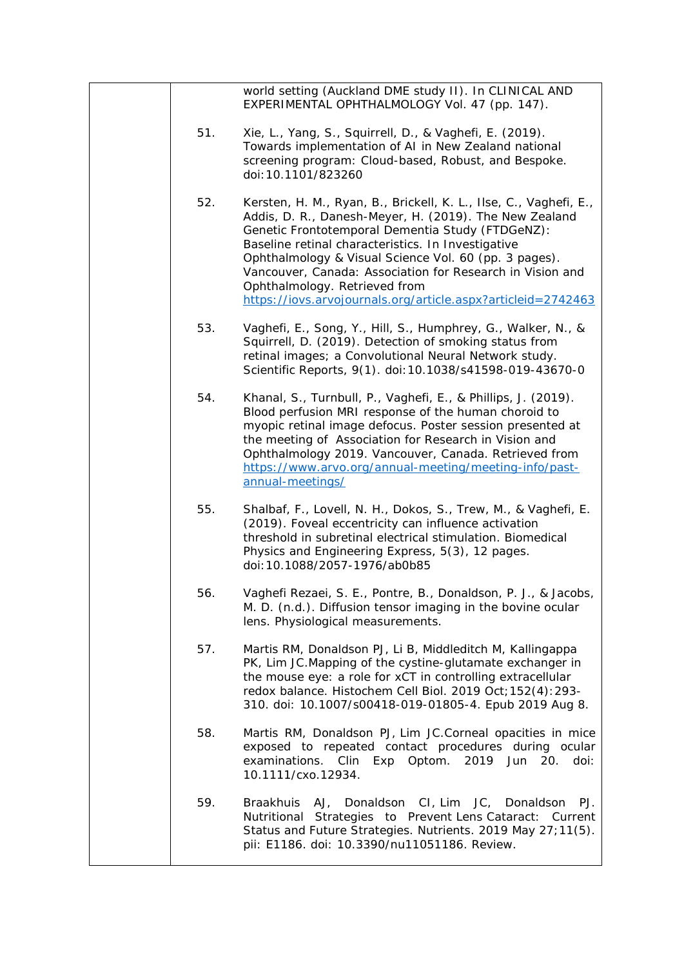|     | world setting (Auckland DME study II). In CLINICAL AND<br>EXPERIMENTAL OPHTHALMOLOGY Vol. 47 (pp. 147).                                                                                                                                                                                                                                                                                                                                                      |
|-----|--------------------------------------------------------------------------------------------------------------------------------------------------------------------------------------------------------------------------------------------------------------------------------------------------------------------------------------------------------------------------------------------------------------------------------------------------------------|
| 51. | Xie, L., Yang, S., Squirrell, D., & Vaghefi, E. (2019).<br>Towards implementation of AI in New Zealand national<br>screening program: Cloud-based, Robust, and Bespoke.<br>doi:10.1101/823260                                                                                                                                                                                                                                                                |
| 52. | Kersten, H. M., Ryan, B., Brickell, K. L., Ilse, C., Vaghefi, E.,<br>Addis, D. R., Danesh-Meyer, H. (2019). The New Zealand<br>Genetic Frontotemporal Dementia Study (FTDGeNZ):<br>Baseline retinal characteristics. In Investigative<br>Ophthalmology & Visual Science Vol. 60 (pp. 3 pages).<br>Vancouver, Canada: Association for Research in Vision and<br>Ophthalmology. Retrieved from<br>https://iovs.arvojournals.org/article.aspx?articleid=2742463 |
| 53. | Vaghefi, E., Song, Y., Hill, S., Humphrey, G., Walker, N., &<br>Squirrell, D. (2019). Detection of smoking status from<br>retinal images; a Convolutional Neural Network study.<br>Scientific Reports, 9(1). doi: 10.1038/s41598-019-43670-0                                                                                                                                                                                                                 |
| 54. | Khanal, S., Turnbull, P., Vaghefi, E., & Phillips, J. (2019).<br>Blood perfusion MRI response of the human choroid to<br>myopic retinal image defocus. Poster session presented at<br>the meeting of Association for Research in Vision and<br>Ophthalmology 2019. Vancouver, Canada. Retrieved from<br>https://www.arvo.org/annual-meeting/meeting-info/past-<br>annual-meetings/                                                                           |
| 55. | Shalbaf, F., Lovell, N. H., Dokos, S., Trew, M., & Vaghefi, E.<br>(2019). Foveal eccentricity can influence activation<br>threshold in subretinal electrical stimulation. Biomedical<br>Physics and Engineering Express, 5(3), 12 pages.<br>doi: 10.1088/2057-1976/ab0b85                                                                                                                                                                                    |
| 56. | Vaghefi Rezaei, S. E., Pontre, B., Donaldson, P. J., & Jacobs,<br>M. D. (n.d.). Diffusion tensor imaging in the bovine ocular<br>lens. Physiological measurements.                                                                                                                                                                                                                                                                                           |
| 57. | Martis RM, Donaldson PJ, Li B, Middleditch M, Kallingappa<br>PK, Lim JC. Mapping of the cystine-glutamate exchanger in<br>the mouse eye: a role for xCT in controlling extracellular<br>redox balance. Histochem Cell Biol. 2019 Oct; 152(4): 293-<br>310. doi: 10.1007/s00418-019-01805-4. Epub 2019 Aug 8.                                                                                                                                                 |
| 58. | Martis RM, Donaldson PJ, Lim JC.Corneal opacities in mice<br>exposed to repeated contact procedures during ocular<br>Clin Exp Optom. 2019 Jun 20. doi:<br>examinations.<br>10.1111/cxo.12934.                                                                                                                                                                                                                                                                |
| 59. | <b>Braakhuis</b><br>Donaldson CI, Lim JC, Donaldson<br>PJ.<br>AJ,<br>Nutritional Strategies to Prevent Lens Cataract: Current<br>Status and Future Strategies. Nutrients. 2019 May 27;11(5).<br>pii: E1186. doi: 10.3390/nu11051186. Review.                                                                                                                                                                                                                 |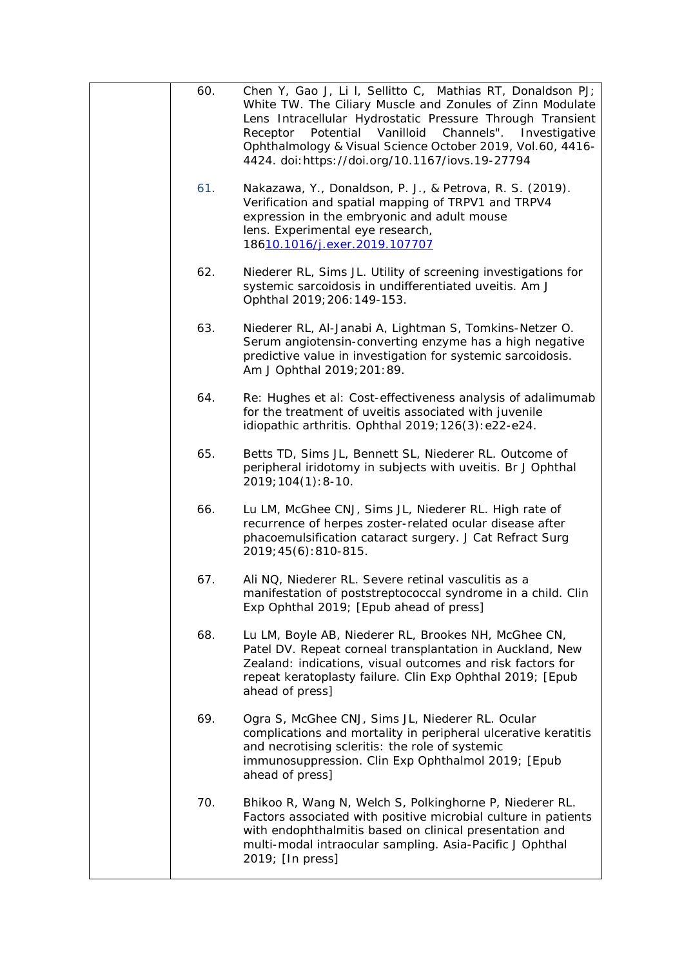| 60. | Chen Y, Gao J, Li I, Sellitto C, Mathias RT, Donaldson PJ;<br>White TW. The Ciliary Muscle and Zonules of Zinn Modulate<br>Lens Intracellular Hydrostatic Pressure Through Transient<br>Potential Vanilloid Channels".<br>Investigative<br>Receptor<br>Ophthalmology & Visual Science October 2019, Vol.60, 4416-<br>4424. doi: https://doi.org/10.1167/iovs.19-27794 |
|-----|-----------------------------------------------------------------------------------------------------------------------------------------------------------------------------------------------------------------------------------------------------------------------------------------------------------------------------------------------------------------------|
| 61. | Nakazawa, Y., Donaldson, P. J., & Petrova, R. S. (2019).<br>Verification and spatial mapping of TRPV1 and TRPV4<br>expression in the embryonic and adult mouse<br>lens. Experimental eye research,<br>18610.1016/j.exer.2019.107707                                                                                                                                   |
| 62. | Niederer RL, Sims JL. Utility of screening investigations for<br>systemic sarcoidosis in undifferentiated uveitis. Am J<br>Ophthal 2019; 206: 149-153.                                                                                                                                                                                                                |
| 63. | Niederer RL, Al-Janabi A, Lightman S, Tomkins-Netzer O.<br>Serum angiotensin-converting enzyme has a high negative<br>predictive value in investigation for systemic sarcoidosis.<br>Am J Ophthal 2019; 201: 89.                                                                                                                                                      |
| 64. | Re: Hughes et al: Cost-effectiveness analysis of adalimumab<br>for the treatment of uveitis associated with juvenile<br>idiopathic arthritis. Ophthal 2019; 126(3): e22-e24.                                                                                                                                                                                          |
| 65. | Betts TD, Sims JL, Bennett SL, Niederer RL. Outcome of<br>peripheral iridotomy in subjects with uveitis. Br J Ophthal<br>$2019; 104(1): 8-10.$                                                                                                                                                                                                                        |
| 66. | Lu LM, McGhee CNJ, Sims JL, Niederer RL. High rate of<br>recurrence of herpes zoster-related ocular disease after<br>phacoemulsification cataract surgery. J Cat Refract Surg<br>2019; 45(6): 810-815.                                                                                                                                                                |
| 67. | Ali NQ, Niederer RL. Severe retinal vasculitis as a<br>manifestation of poststreptococcal syndrome in a child. Clin<br>Exp Ophthal 2019; [Epub ahead of press]                                                                                                                                                                                                        |
| 68. | Lu LM, Boyle AB, Niederer RL, Brookes NH, McGhee CN,<br>Patel DV. Repeat corneal transplantation in Auckland, New<br>Zealand: indications, visual outcomes and risk factors for<br>repeat keratoplasty failure. Clin Exp Ophthal 2019; [Epub<br>ahead of press]                                                                                                       |
| 69. | Ogra S, McGhee CNJ, Sims JL, Niederer RL. Ocular<br>complications and mortality in peripheral ulcerative keratitis<br>and necrotising scleritis: the role of systemic<br>immunosuppression. Clin Exp Ophthalmol 2019; [Epub<br>ahead of press]                                                                                                                        |
| 70. | Bhikoo R, Wang N, Welch S, Polkinghorne P, Niederer RL.<br>Factors associated with positive microbial culture in patients<br>with endophthalmitis based on clinical presentation and<br>multi-modal intraocular sampling. Asia-Pacific J Ophthal<br>2019; [In press]                                                                                                  |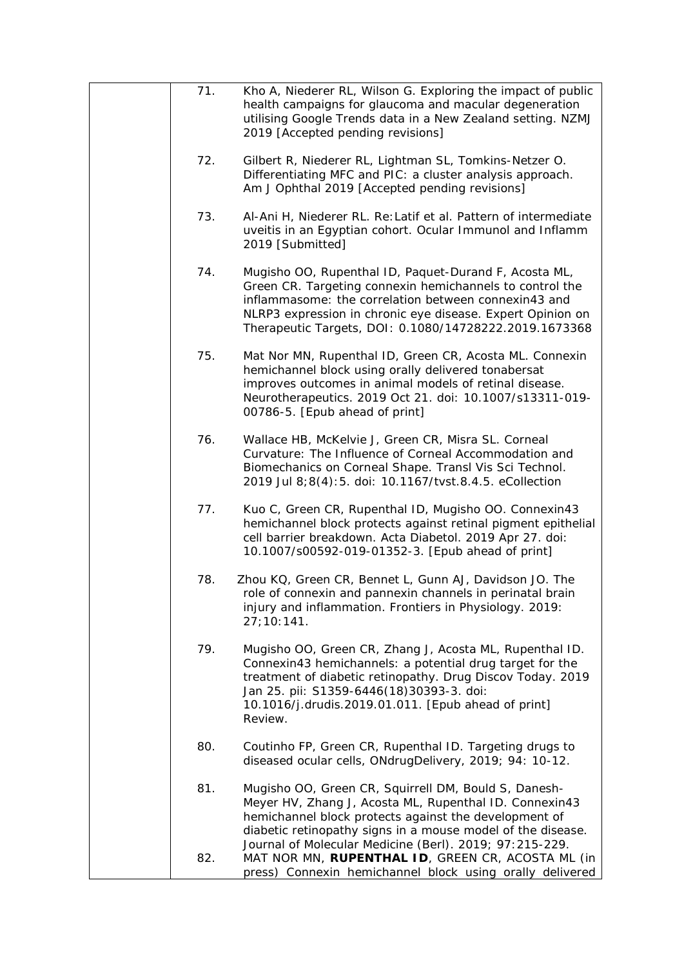| 71. | Kho A, Niederer RL, Wilson G. Exploring the impact of public<br>health campaigns for glaucoma and macular degeneration<br>utilising Google Trends data in a New Zealand setting. NZMJ<br>2019 [Accepted pending revisions]                                                                        |
|-----|---------------------------------------------------------------------------------------------------------------------------------------------------------------------------------------------------------------------------------------------------------------------------------------------------|
| 72. | Gilbert R, Niederer RL, Lightman SL, Tomkins-Netzer O.<br>Differentiating MFC and PIC: a cluster analysis approach.<br>Am J Ophthal 2019 [Accepted pending revisions]                                                                                                                             |
| 73. | Al-Ani H, Niederer RL. Re: Latif et al. Pattern of intermediate<br>uveitis in an Egyptian cohort. Ocular Immunol and Inflamm<br>2019 [Submitted]                                                                                                                                                  |
| 74. | Mugisho OO, Rupenthal ID, Paquet-Durand F, Acosta ML,<br>Green CR. Targeting connexin hemichannels to control the<br>inflammasome: the correlation between connexin43 and<br>NLRP3 expression in chronic eye disease. Expert Opinion on<br>Therapeutic Targets, DOI: 0.1080/14728222.2019.1673368 |
| 75. | Mat Nor MN, Rupenthal ID, Green CR, Acosta ML. Connexin<br>hemichannel block using orally delivered tonabersat<br>improves outcomes in animal models of retinal disease.<br>Neurotherapeutics. 2019 Oct 21. doi: 10.1007/s13311-019-<br>00786-5. [Epub ahead of print]                            |
| 76. | Wallace HB, McKelvie J, Green CR, Misra SL. Corneal<br>Curvature: The Influence of Corneal Accommodation and<br>Biomechanics on Corneal Shape. Transl Vis Sci Technol.<br>2019 Jul 8;8(4):5. doi: 10.1167/tvst.8.4.5. eCollection                                                                 |
| 77. | Kuo C, Green CR, Rupenthal ID, Mugisho OO. Connexin43<br>hemichannel block protects against retinal pigment epithelial<br>cell barrier breakdown. Acta Diabetol. 2019 Apr 27. doi:<br>10.1007/s00592-019-01352-3. [Epub ahead of print]                                                           |
| 78. | Zhou KQ, Green CR, Bennet L, Gunn AJ, Davidson JO. The<br>role of connexin and pannexin channels in perinatal brain<br>injury and inflammation. Frontiers in Physiology. 2019:<br>27;10:141.                                                                                                      |
| 79. | Mugisho OO, Green CR, Zhang J, Acosta ML, Rupenthal ID.<br>Connexin43 hemichannels: a potential drug target for the<br>treatment of diabetic retinopathy. Drug Discov Today. 2019<br>Jan 25. pii: S1359-6446(18)30393-3. doi:<br>10.1016/j.drudis.2019.01.011. [Epub ahead of print]<br>Review.   |
| 80. | Coutinho FP, Green CR, Rupenthal ID. Targeting drugs to<br>diseased ocular cells, ONdrugDelivery, 2019; 94: 10-12.                                                                                                                                                                                |
| 81. | Mugisho OO, Green CR, Squirrell DM, Bould S, Danesh-<br>Meyer HV, Zhang J, Acosta ML, Rupenthal ID. Connexin43<br>hemichannel block protects against the development of<br>diabetic retinopathy signs in a mouse model of the disease.                                                            |
| 82. | Journal of Molecular Medicine (Berl). 2019; 97:215-229.<br>MAT NOR MN, RUPENTHAL ID, GREEN CR, ACOSTA ML (in<br>press) Connexin hemichannel block using orally delivered                                                                                                                          |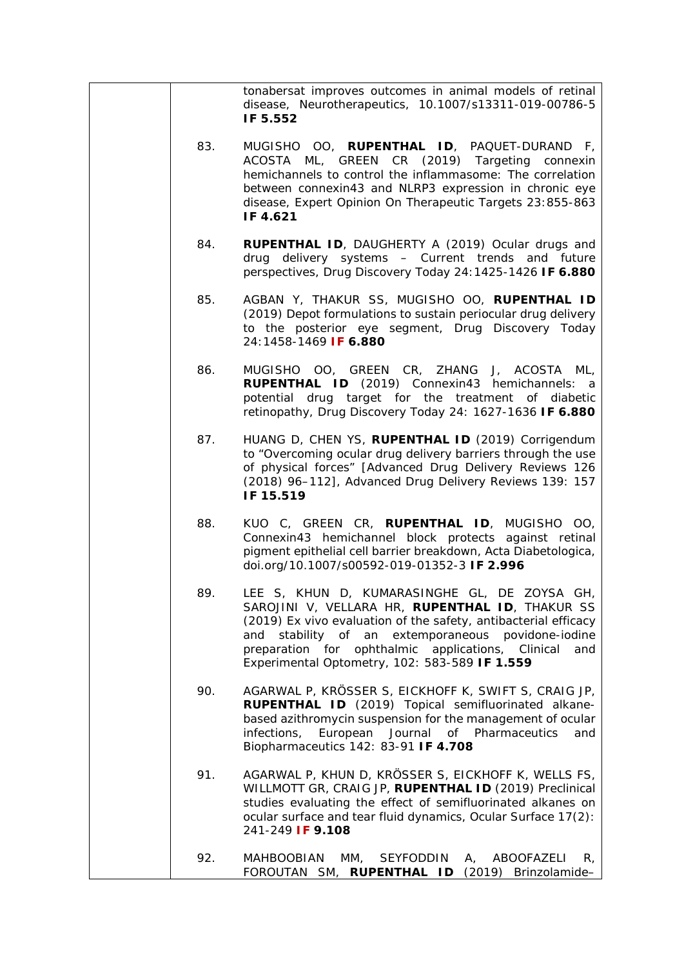|     | tonabersat improves outcomes in animal models of retinal<br>disease, Neurotherapeutics, 10.1007/s13311-019-00786-5<br>IF 5.552                                                                                                                                                                                                           |
|-----|------------------------------------------------------------------------------------------------------------------------------------------------------------------------------------------------------------------------------------------------------------------------------------------------------------------------------------------|
| 83. | MUGISHO OO, RUPENTHAL ID, PAQUET-DURAND F,<br>ML, GREEN CR (2019) Targeting<br><b>ACOSTA</b><br>connexin<br>hemichannels to control the inflammasome: The correlation<br>between connexin43 and NLRP3 expression in chronic eye<br>disease, Expert Opinion On Therapeutic Targets 23:855-863<br>IF 4.621                                 |
| 84. | <b>RUPENTHAL ID, DAUGHERTY A (2019) Ocular drugs and</b><br>drug delivery systems - Current trends and future<br>perspectives, Drug Discovery Today 24:1425-1426 IF 6.880                                                                                                                                                                |
| 85. | AGBAN Y, THAKUR SS, MUGISHO OO, RUPENTHAL ID<br>(2019) Depot formulations to sustain periocular drug delivery<br>to the posterior eye segment, Drug Discovery Today<br>24:1458-1469 IF 6.880                                                                                                                                             |
| 86. | MUGISHO OO, GREEN CR, ZHANG J, ACOSTA ML,<br>RUPENTHAL ID (2019) Connexin43 hemichannels: a<br>potential drug target for the treatment of diabetic<br>retinopathy, Drug Discovery Today 24: 1627-1636 IF 6.880                                                                                                                           |
| 87. | HUANG D, CHEN YS, RUPENTHAL ID (2019) Corrigendum<br>to "Overcoming ocular drug delivery barriers through the use<br>of physical forces" [Advanced Drug Delivery Reviews 126<br>(2018) 96-112], Advanced Drug Delivery Reviews 139: 157<br>IF 15.519                                                                                     |
| 88. | KUO C, GREEN CR, RUPENTHAL ID, MUGISHO OO,<br>Connexin43 hemichannel block protects against retinal<br>pigment epithelial cell barrier breakdown, Acta Diabetologica,<br>doi.org/10.1007/s00592-019-01352-3 IF 2.996                                                                                                                     |
| 89. | LEE S, KHUN D, KUMARASINGHE GL, DE ZOYSA GH,<br>SAROJINI V, VELLARA HR, RUPENTHAL ID, THAKUR SS<br>(2019) Ex vivo evaluation of the safety, antibacterial efficacy<br>stability of an extemporaneous povidone-iodine<br>and<br>preparation for ophthalmic applications, Clinical<br>and<br>Experimental Optometry, 102: 583-589 IF 1.559 |
| 90. | AGARWAL P, KRÖSSER S, EICKHOFF K, SWIFT S, CRAIG JP,<br>RUPENTHAL ID (2019) Topical semifluorinated alkane-<br>based azithromycin suspension for the management of ocular<br>of Pharmaceutics<br>infections,<br>European<br>Journal<br>and<br>Biopharmaceutics 142: 83-91 IF 4.708                                                       |
| 91. | AGARWAL P, KHUN D, KRÖSSER S, EICKHOFF K, WELLS FS,<br>WILLMOTT GR, CRAIG JP, RUPENTHAL ID (2019) Preclinical<br>studies evaluating the effect of semifluorinated alkanes on<br>ocular surface and tear fluid dynamics, Ocular Surface 17(2):<br>241-249 IF 9.108                                                                        |
| 92. | <b>MAHBOOBIAN</b><br>MM,<br>SEYFODDIN<br>ABOOFAZELI<br>А,<br>R,<br>FOROUTAN SM, RUPENTHAL ID (2019) Brinzolamide-                                                                                                                                                                                                                        |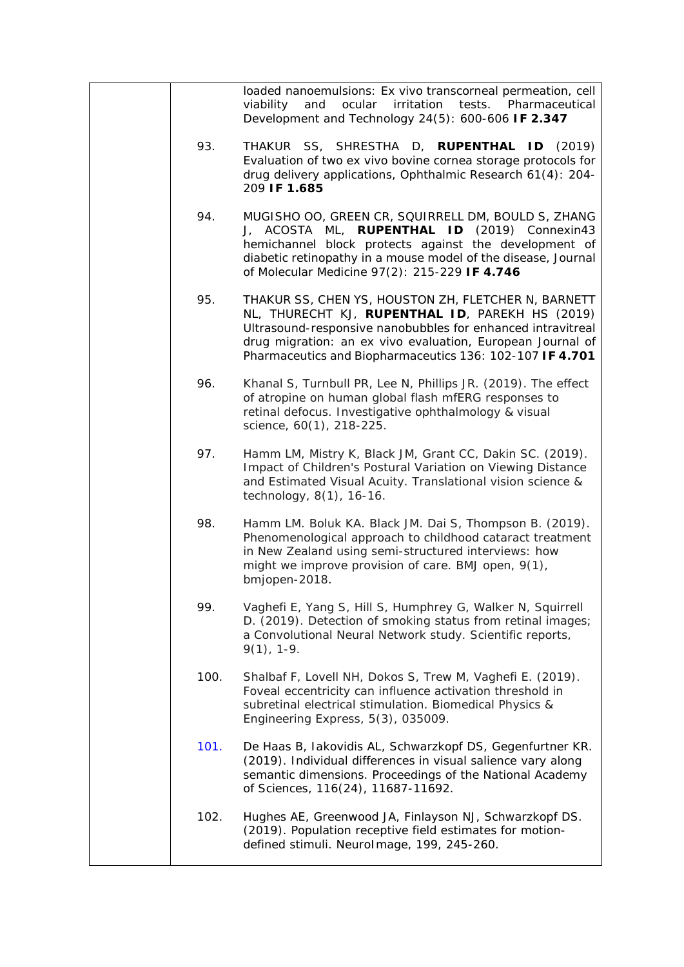|      | loaded nanoemulsions: Ex vivo transcorneal permeation, cell<br>ocular<br>irritation<br>tests.<br>Pharmaceutical<br>viability<br>and<br>Development and Technology 24(5): 600-606 IF 2.347                                                                                                       |
|------|-------------------------------------------------------------------------------------------------------------------------------------------------------------------------------------------------------------------------------------------------------------------------------------------------|
| 93.  | THAKUR SS, SHRESTHA D, RUPENTHAL ID (2019)<br>Evaluation of two ex vivo bovine cornea storage protocols for<br>drug delivery applications, Ophthalmic Research 61(4): 204-<br>209 IF 1.685                                                                                                      |
| 94.  | MUGISHO OO, GREEN CR, SQUIRRELL DM, BOULD S, ZHANG<br>J, ACOSTA ML, RUPENTHAL ID (2019) Connexin43<br>hemichannel block protects against the development of<br>diabetic retinopathy in a mouse model of the disease, Journal<br>of Molecular Medicine 97(2): 215-229 IF 4.746                   |
| 95.  | THAKUR SS, CHEN YS, HOUSTON ZH, FLETCHER N, BARNETT<br>NL, THURECHT KJ, RUPENTHAL ID, PAREKH HS (2019)<br>Ultrasound-responsive nanobubbles for enhanced intravitreal<br>drug migration: an ex vivo evaluation, European Journal of<br>Pharmaceutics and Biopharmaceutics 136: 102-107 IF 4.701 |
| 96.  | Khanal S, Turnbull PR, Lee N, Phillips JR. (2019). The effect<br>of atropine on human global flash mfERG responses to<br>retinal defocus. Investigative ophthalmology & visual<br>science, 60(1), 218-225.                                                                                      |
| 97.  | Hamm LM, Mistry K, Black JM, Grant CC, Dakin SC. (2019).<br>Impact of Children's Postural Variation on Viewing Distance<br>and Estimated Visual Acuity. Translational vision science &<br>technology, 8(1), 16-16.                                                                              |
| 98.  | Hamm LM. Boluk KA. Black JM. Dai S, Thompson B. (2019).<br>Phenomenological approach to childhood cataract treatment<br>in New Zealand using semi-structured interviews: how<br>might we improve provision of care. BMJ open, 9(1),<br>bmjopen-2018.                                            |
| 99.  | Vaghefi E, Yang S, Hill S, Humphrey G, Walker N, Squirrell<br>D. (2019). Detection of smoking status from retinal images;<br>a Convolutional Neural Network study. Scientific reports,<br>$9(1)$ , 1-9.                                                                                         |
| 100. | Shalbaf F, Lovell NH, Dokos S, Trew M, Vaghefi E. (2019).<br>Foveal eccentricity can influence activation threshold in<br>subretinal electrical stimulation. Biomedical Physics &<br>Engineering Express, 5(3), 035009.                                                                         |
| 101. | De Haas B, lakovidis AL, Schwarzkopf DS, Gegenfurtner KR.<br>(2019). Individual differences in visual salience vary along<br>semantic dimensions. Proceedings of the National Academy<br>of Sciences, 116(24), 11687-11692.                                                                     |
| 102. | Hughes AE, Greenwood JA, Finlayson NJ, Schwarzkopf DS.<br>(2019). Population receptive field estimates for motion-<br>defined stimuli. NeuroImage, 199, 245-260.                                                                                                                                |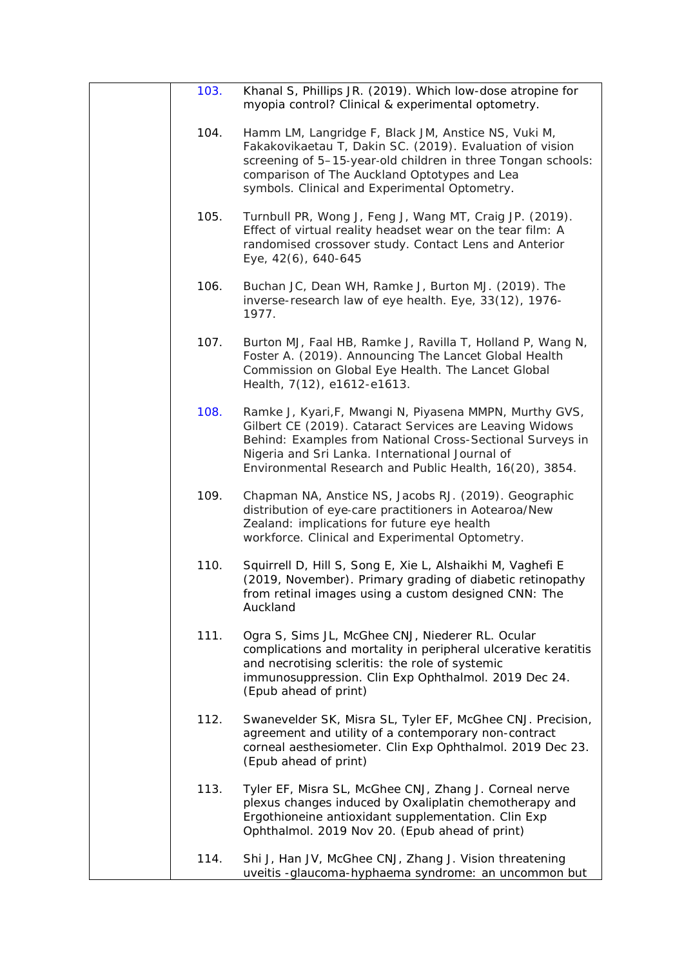| 103. | Khanal S, Phillips JR. (2019). Which low-dose atropine for<br>myopia control? Clinical & experimental optometry.                                                                                                                                                                              |
|------|-----------------------------------------------------------------------------------------------------------------------------------------------------------------------------------------------------------------------------------------------------------------------------------------------|
| 104. | Hamm LM, Langridge F, Black JM, Anstice NS, Vuki M,<br>Fakakovikaetau T, Dakin SC. (2019). Evaluation of vision<br>screening of 5-15-year-old children in three Tongan schools:<br>comparison of The Auckland Optotypes and Lea<br>symbols. Clinical and Experimental Optometry.              |
| 105. | Turnbull PR, Wong J, Feng J, Wang MT, Craig JP. (2019).<br>Effect of virtual reality headset wear on the tear film: A<br>randomised crossover study. Contact Lens and Anterior<br>Eye, 42(6), 640-645                                                                                         |
| 106. | Buchan JC, Dean WH, Ramke J, Burton MJ. (2019). The<br>inverse-research law of eye health. Eye, 33(12), 1976-<br>1977.                                                                                                                                                                        |
| 107. | Burton MJ, Faal HB, Ramke J, Ravilla T, Holland P, Wang N,<br>Foster A. (2019). Announcing The Lancet Global Health<br>Commission on Global Eye Health. The Lancet Global<br>Health, 7(12), e1612-e1613.                                                                                      |
| 108. | Ramke J, Kyari, F, Mwangi N, Piyasena MMPN, Murthy GVS,<br>Gilbert CE (2019). Cataract Services are Leaving Widows<br>Behind: Examples from National Cross-Sectional Surveys in<br>Nigeria and Sri Lanka. International Journal of<br>Environmental Research and Public Health, 16(20), 3854. |
| 109. | Chapman NA, Anstice NS, Jacobs RJ. (2019). Geographic<br>distribution of eye-care practitioners in Aotearoa/New<br>Zealand: implications for future eye health<br>workforce. Clinical and Experimental Optometry.                                                                             |
| 110. | Squirrell D, Hill S, Song E, Xie L, Alshaikhi M, Vaghefi E<br>(2019, November). Primary grading of diabetic retinopathy<br>from retinal images using a custom designed CNN: The<br>Auckland                                                                                                   |
| 111. | Ogra S, Sims JL, McGhee CNJ, Niederer RL. Ocular<br>complications and mortality in peripheral ulcerative keratitis<br>and necrotising scleritis: the role of systemic<br>immunosuppression. Clin Exp Ophthalmol. 2019 Dec 24.<br>(Epub ahead of print)                                        |
| 112. | Swanevelder SK, Misra SL, Tyler EF, McGhee CNJ. Precision,<br>agreement and utility of a contemporary non-contract<br>corneal aesthesiometer. Clin Exp Ophthalmol. 2019 Dec 23.<br>(Epub ahead of print)                                                                                      |
| 113. | Tyler EF, Misra SL, McGhee CNJ, Zhang J. Corneal nerve<br>plexus changes induced by Oxaliplatin chemotherapy and<br>Ergothioneine antioxidant supplementation. Clin Exp<br>Ophthalmol. 2019 Nov 20. (Epub ahead of print)                                                                     |
| 114. | Shi J, Han JV, McGhee CNJ, Zhang J. Vision threatening<br>uveitis -glaucoma-hyphaema syndrome: an uncommon but                                                                                                                                                                                |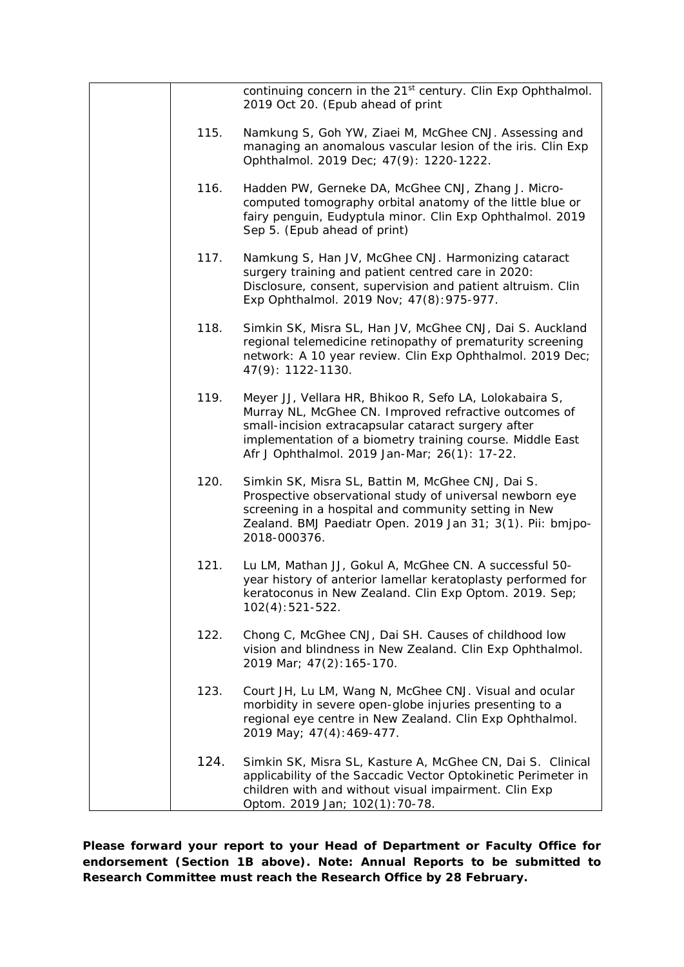|      | continuing concern in the 21 <sup>st</sup> century. Clin Exp Ophthalmol.<br>2019 Oct 20. (Epub ahead of print                                                                                                                                                                         |
|------|---------------------------------------------------------------------------------------------------------------------------------------------------------------------------------------------------------------------------------------------------------------------------------------|
| 115. | Namkung S, Goh YW, Ziaei M, McGhee CNJ. Assessing and<br>managing an anomalous vascular lesion of the iris. Clin Exp<br>Ophthalmol. 2019 Dec; 47(9): 1220-1222.                                                                                                                       |
| 116. | Hadden PW, Gerneke DA, McGhee CNJ, Zhang J. Micro-<br>computed tomography orbital anatomy of the little blue or<br>fairy penguin, Eudyptula minor. Clin Exp Ophthalmol. 2019<br>Sep 5. (Epub ahead of print)                                                                          |
| 117. | Namkung S, Han JV, McGhee CNJ. Harmonizing cataract<br>surgery training and patient centred care in 2020:<br>Disclosure, consent, supervision and patient altruism. Clin<br>Exp Ophthalmol. 2019 Nov; 47(8): 975-977.                                                                 |
| 118. | Simkin SK, Misra SL, Han JV, McGhee CNJ, Dai S. Auckland<br>regional telemedicine retinopathy of prematurity screening<br>network: A 10 year review. Clin Exp Ophthalmol. 2019 Dec;<br>47(9): 1122-1130.                                                                              |
| 119. | Meyer JJ, Vellara HR, Bhikoo R, Sefo LA, Lolokabaira S,<br>Murray NL, McGhee CN. Improved refractive outcomes of<br>small-incision extracapsular cataract surgery after<br>implementation of a biometry training course. Middle East<br>Afr J Ophthalmol. 2019 Jan-Mar; 26(1): 17-22. |
| 120. | Simkin SK, Misra SL, Battin M, McGhee CNJ, Dai S.<br>Prospective observational study of universal newborn eye<br>screening in a hospital and community setting in New<br>Zealand. BMJ Paediatr Open. 2019 Jan 31; 3(1). Pii: bmjpo-<br>2018-000376.                                   |
| 121. | Lu LM, Mathan JJ, Gokul A, McGhee CN. A successful 50-<br>year history of anterior lamellar keratoplasty performed for<br>keratoconus in New Zealand. Clin Exp Optom. 2019. Sep;<br>$102(4):521-522.$                                                                                 |
| 122. | Chong C, McGhee CNJ, Dai SH. Causes of childhood low<br>vision and blindness in New Zealand. Clin Exp Ophthalmol.<br>2019 Mar; 47(2): 165-170.                                                                                                                                        |
| 123. | Court JH, Lu LM, Wang N, McGhee CNJ. Visual and ocular<br>morbidity in severe open-globe injuries presenting to a<br>regional eye centre in New Zealand. Clin Exp Ophthalmol.<br>2019 May; 47(4): 469-477.                                                                            |
| 124. | Simkin SK, Misra SL, Kasture A, McGhee CN, Dai S. Clinical<br>applicability of the Saccadic Vector Optokinetic Perimeter in<br>children with and without visual impairment. Clin Exp<br>Optom. 2019 Jan; 102(1): 70-78.                                                               |

**Please forward your report to your Head of Department or Faculty Office for endorsement (Section 1B above). Note: Annual Reports to be submitted to Research Committee must reach the Research Office by 28 February.**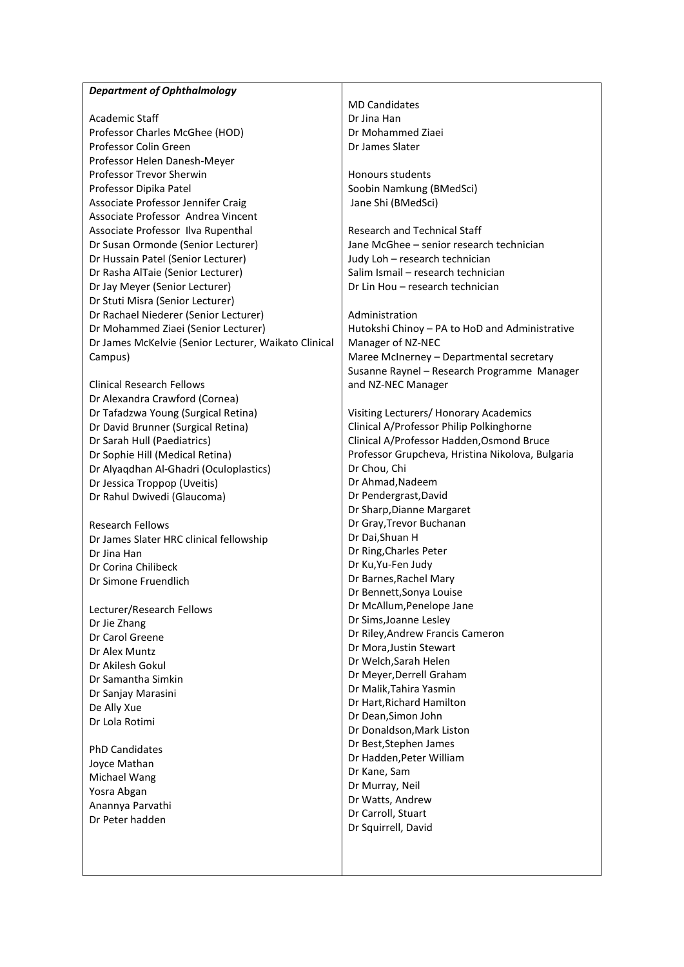#### *Department of Ophthalmology*

Academic Staff Professor Charles McGhee (HOD) Professor Colin Green Professor Helen Danesh-Meyer Professor Trevor Sherwin Professor Dipika Patel Associate Professor Jennifer Craig Associate Professor Andrea Vincent Associate Professor Ilva Rupenthal Dr Susan Ormonde (Senior Lecturer) Dr Hussain Patel (Senior Lecturer) Dr Rasha AlTaie (Senior Lecturer) Dr Jay Meyer (Senior Lecturer) Dr Stuti Misra (Senior Lecturer) Dr Rachael Niederer (Senior Lecturer) Dr Mohammed Ziaei (Senior Lecturer) Dr James McKelvie (Senior Lecturer, Waikato Clinical Campus)

Clinical Research Fellows Dr Alexandra Crawford (Cornea) Dr Tafadzwa Young (Surgical Retina) Dr David Brunner (Surgical Retina) Dr Sarah Hull (Paediatrics) Dr Sophie Hill (Medical Retina) Dr Alyaqdhan Al-Ghadri (Oculoplastics) Dr Jessica Troppop (Uveitis) Dr Rahul Dwivedi (Glaucoma)

Research Fellows Dr James Slater HRC clinical fellowship Dr Jina Han Dr Corina Chilibeck Dr Simone Fruendlich

Lecturer/Research Fellows Dr Jie Zhang Dr Carol Greene Dr Alex Muntz Dr Akilesh Gokul Dr Samantha Simkin Dr Sanjay Marasini De Ally Xue Dr Lola Rotimi

PhD Candidates Joyce Mathan Michael Wang Yosra Abgan Anannya Parvathi Dr Peter hadden

MD Candidates Dr Jina Han Dr Mohammed Ziaei Dr James Slater

Honours students Soobin Namkung (BMedSci) Jane Shi (BMedSci)

Research and Technical Staff Jane McGhee – senior research technician Judy Loh – research technician Salim Ismail – research technician Dr Lin Hou – research technician

Administration Hutokshi Chinoy – PA to HoD and Administrative Manager of NZ-NEC Maree McInerney – Departmental secretary Susanne Raynel – Research Programme Manager and NZ-NEC Manager

Visiting Lecturers/ Honorary Academics Clinical A/Professor Philip Polkinghorne Clinical A/Professor Hadden,Osmond Bruce Professor Grupcheva, Hristina Nikolova, Bulgaria Dr Chou, Chi Dr Ahmad,Nadeem Dr Pendergrast,David Dr Sharp,Dianne Margaret Dr Gray,Trevor Buchanan Dr Dai,Shuan H Dr Ring,Charles Peter Dr Ku,Yu-Fen Judy Dr Barnes,Rachel Mary Dr Bennett,Sonya Louise Dr McAllum,Penelope Jane Dr Sims,Joanne Lesley Dr Riley,Andrew Francis Cameron Dr Mora,Justin Stewart Dr Welch,Sarah Helen Dr Meyer,Derrell Graham Dr Malik,Tahira Yasmin Dr Hart,Richard Hamilton Dr Dean,Simon John Dr Donaldson,Mark Liston Dr Best,Stephen James Dr Hadden,Peter William Dr Kane, Sam Dr Murray, Neil Dr Watts, Andrew Dr Carroll, Stuart

Dr Squirrell, David